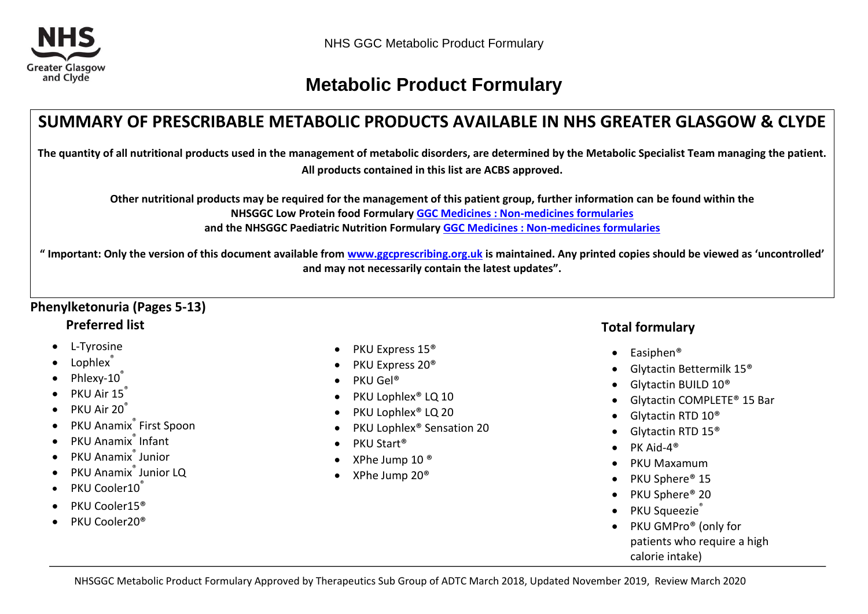

# **Metabolic Product Formulary**

# **SUMMARY OF PRESCRIBABLE METABOLIC PRODUCTS AVAILABLE IN NHS GREATER GLASGOW & CLYDE**

**The quantity of all nutritional products used in the management of metabolic disorders, are determined by the Metabolic Specialist Team managing the patient. All products contained in this list are ACBS approved.**

**Other nutritional products may be required for the management of this patient group, further information can be found within the NHSGGC Low Protein food Formulary [GGC Medicines : Non-medicines formularies](http://www.ggcprescribing.org.uk/non-medicines-formularies/) and the NHSGGC Paediatric Nutrition Formulary [GGC Medicines : Non-medicines formularies](http://www.ggcprescribing.org.uk/non-medicines-formularies/)**

**" Important: Only the version of this document available from [www.ggcprescribing.org.uk](http://www.ggcprescribing.org.uk/) is maintained. Any printed copies should be viewed as 'uncontrolled' and may not necessarily contain the latest updates".**

## **Phenylketonuria (Pages 5-13) Preferred list**

- L-Tyrosine
- Lophlex<sup>®</sup>
- Phlexy-10®
- PKU Air 15<sup>®</sup>
- PKU Air 20<sup>®</sup>
- PKU Anamix<sup>®</sup> First Spoon
- PKU Anamix<sup>®</sup> Infant
- PKU Anamix<sup>®</sup> Junior
- PKU Anamix<sup>®</sup> Junior LQ
- PKU Cooler10<sup>®</sup>
- PKU Cooler15<sup>®</sup>
- PKU Cooler20®
- PKU Express 15<sup>®</sup>
- $\bullet$  PKU Express 20<sup>®</sup>
- $\bullet$  PKU Gel<sup>®</sup>
- PKU Lophlex® LQ 10
- PKU Lophlex<sup>®</sup> LQ 20
- PKU Lophlex<sup>®</sup> Sensation 20
- PKU Start<sup>®</sup>
- XPhe Jump 10 ®
- XPhe Jump 20®

## **Total formulary**

- $\bullet$  Easiphen<sup>®</sup>
- Glytactin Bettermilk 15®
- Glytactin BUILD 10<sup>®</sup>
- Glytactin COMPLETE® 15 Bar
- Glytactin RTD 10®
- Glytactin RTD 15®
- $\bullet$  PK Aid-4<sup>®</sup>
- PKU Maxamum
- PKU Sphere® 15
- PKU Sphere® 20
- PKU Squeezie®
- PKU GMPro<sup>®</sup> (only for patients who require a high calorie intake)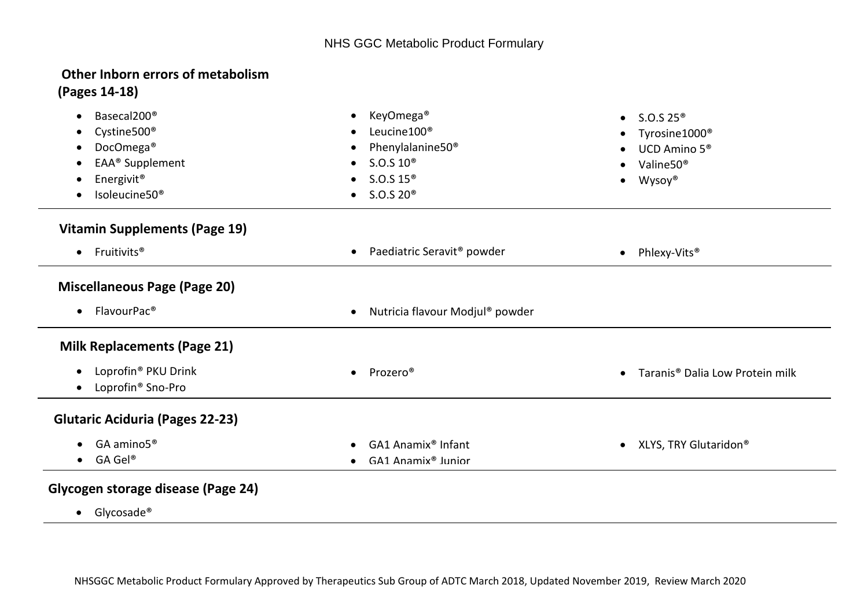#### I, **Other Inborn errors of metabolism (Pages 14-18)**

| KeyOmega <sup>®</sup><br>$\bullet$                  | • $S.O.S.25^{\circledcirc}$                                         |
|-----------------------------------------------------|---------------------------------------------------------------------|
| Leucine100 <sup>®</sup>                             | Tyrosine1000 <sup>®</sup><br>$\bullet$                              |
| Phenylalanine50 <sup>®</sup>                        | UCD Amino 5 <sup>®</sup><br>$\bullet$                               |
| S.O.S.10 <sup>®</sup>                               | Valine50 <sup>®</sup>                                               |
| S.O.S.15 <sup>®</sup><br>$\bullet$                  | Wysoy®<br>$\bullet$                                                 |
| S.O.S.20 <sup>®</sup><br>$\bullet$                  |                                                                     |
|                                                     |                                                                     |
| Paediatric Seravit <sup>®</sup> powder<br>$\bullet$ | Phlexy-Vits <sup>®</sup><br>$\bullet$                               |
|                                                     |                                                                     |
| Nutricia flavour Modjul® powder                     |                                                                     |
|                                                     |                                                                     |
|                                                     | Taranis <sup>®</sup> Dalia Low Protein milk<br>$\bullet$            |
|                                                     |                                                                     |
|                                                     |                                                                     |
|                                                     | • XLYS, TRY Glutaridon <sup>®</sup>                                 |
| GA1 Anamix <sup>®</sup> Junior                      |                                                                     |
|                                                     | Prozero <sup>®</sup><br>$\bullet$<br>GA1 Anamix <sup>®</sup> Infant |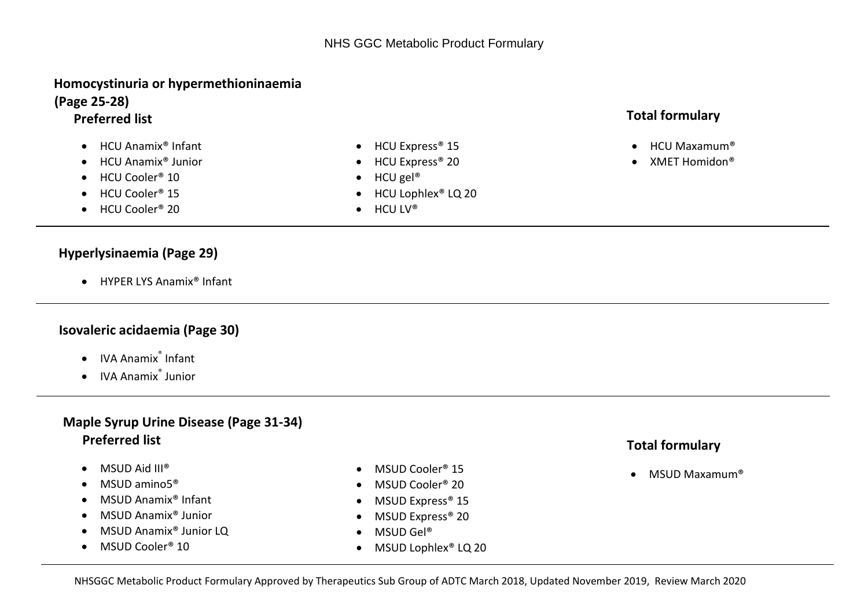### **Homocystinuria or hypermethioninaemia (Page 25-28)**

### **Preferred list**

- HCU Anamix<sup>®</sup> Infant
- HCU Anamix<sup>®</sup> Junior
- HCU Cooler<sup>®</sup> 10
- HCU Cooler<sup>®</sup> 15
- HCU Cooler<sup>®</sup> 20
- **Hyperlysinaemia (Page 29)**
	- HYPER LYS Anamix<sup>®</sup> Infant

### **Isovaleric acidaemia (Page 30)**

- IVA Anamix<sup>®</sup> Infant
- IVA Anamix<sup>®</sup> Junior

## **Maple Syrup Urine Disease (Page 31-34) Preferred list**

- $\bullet$  MSUD Aid III®
- $\bullet$  MSUD amino $5^\circ$
- MSUD Anamix<sup>®</sup> Infant
- MSUD Anamix<sup>®</sup> Junior
- MSUD Anamix<sup>®</sup> Junior LQ
- MSUD Cooler<sup>®</sup> 10
- MSUD Cooler<sup>®</sup> 15
- MSUD Cooler® 20
- MSUD Express® 15
- MSUD Express® 20
- MSUD Gel®
- MSUD Lophlex<sup>®</sup> LQ 20

## **Total formulary**

- $\bullet$  HCU Maxamum®
- XMET Homidon<sup>®</sup>

- **Total formulary**
- MSUD Maxamum®
- HCU Express<sup>®</sup> 15 • HCU Express<sup>®</sup> 20
- $\bullet$  HCU gel<sup>®</sup>
- HCU Lophlex<sup>®</sup> LQ 20
- $\bullet$  HCU LV®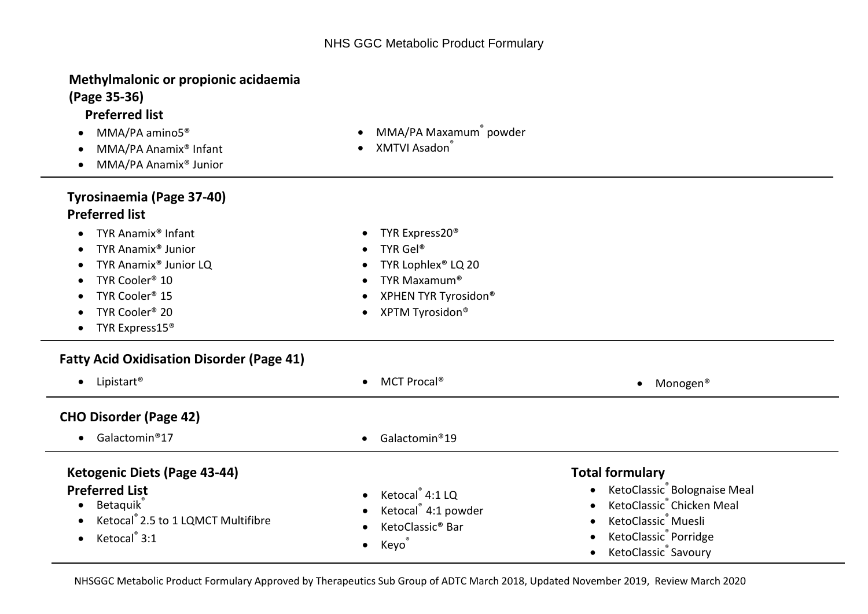### **Methylmalonic or propionic acidaemia (Page 35-36)**

# **Preferred list**

- MMA/PA amino5<sup>®</sup>
- MMA/PA Anamix<sup>®</sup> Infant
- MMA/PA Anamix<sup>®</sup> Junior

## **Tyrosinaemia (Page 37-40) Preferred list**

- **P** TYR Anamix® Infant
- TYR Anamix® Junior
- TYR Anamix<sup>®</sup> Junior LQ
- TYR Cooler<sup>®</sup> 10
- TYR Cooler<sup>®</sup> 15
- TYR Cooler<sup>®</sup> 20
- TYR Express15<sup>®</sup>

## **Fatty Acid Oxidisation Disorder (Page 41)**

| Lipistart <sup>®</sup><br>$\bullet$                                        | MCT Procal®<br>$\bullet$                                      | Monogen®<br>$\bullet$                                                  |
|----------------------------------------------------------------------------|---------------------------------------------------------------|------------------------------------------------------------------------|
| <b>CHO Disorder (Page 42)</b>                                              |                                                               |                                                                        |
| $\bullet$ Galactomin®17                                                    | Galactomin®19<br>$\bullet$                                    |                                                                        |
| Ketogenic Diets (Page 43-44)                                               | <b>Total formulary</b>                                        |                                                                        |
| <b>Preferred List</b><br>• Betaquik<br>• Ketocal 2.5 to 1 LQMCT Multifibre | • Ketocal 4:1 LQ<br>$\bullet$ Ketocal <sup>®</sup> 4:1 powder | • KetoClassic Bolognaise Meal<br>KetoClassic <sup>®</sup> Chicken Meal |

- MMA/PA Maxamum<sup>®</sup> powder
- XMTVI Asadon®

• TYR Express20<sup>®</sup> TYR Gel®

• TYR Lophlex<sup>®</sup> LQ 20 TYR Maxamum® • XPHEN TYR Tyrosidon® • XPTM Tyrosidon<sup>®</sup>

NHSGGC Metabolic Product Formulary Approved by Therapeutics Sub Group of ADTC March 2018, Updated November 2019, Review March 2020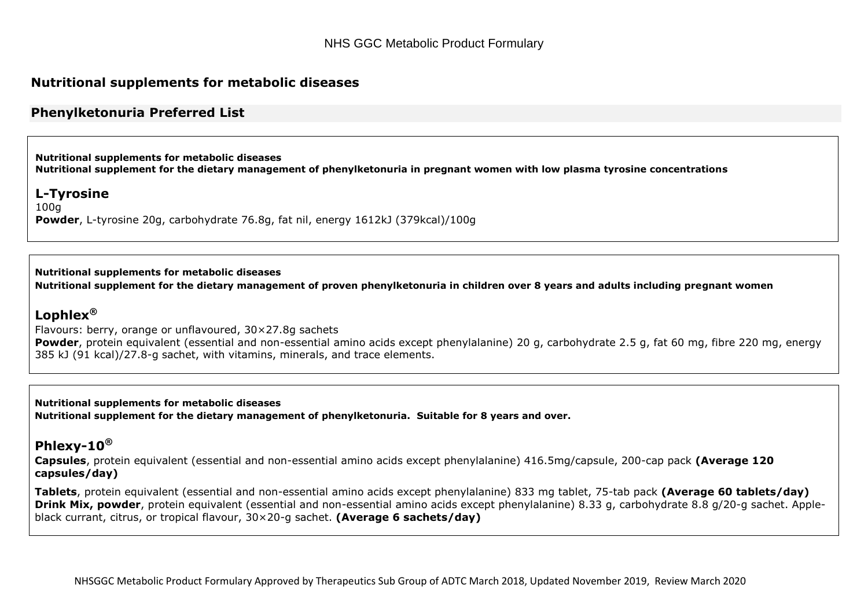#### **Nutritional supplements for metabolic diseases**

#### **Phenylketonuria Preferred List**

**Nutritional supplements for metabolic diseases Nutritional supplement for the dietary management of phenylketonuria in pregnant women with low plasma tyrosine concentrations** 

#### **L-Tyrosine**

100g **Powder**, L-tyrosine 20g, carbohydrate 76.8g, fat nil, energy 1612kJ (379kcal)/100g

#### **Nutritional supplements for metabolic diseases**

**Nutritional supplement for the dietary management of proven phenylketonuria in children over 8 years and adults including pregnant women**

#### **Lophlex®**

[Flavours: berry, orange or unflavoured, 30×27.8g sachets](http://www.medicinescomplete.com/mc/bnf/current/PHP39-prices-in-the-bnf.htm) **Powder**, protein equivalent (essential and non-essential amino acids except phenylalanine) 20 g, carbohydrate 2.5 g, fat 60 mg, fibre 220 mg, energy 385 kJ (91 kcal)/27.8-g sachet, with vitamins, minerals, and trace elements.

**Nutritional supplements for metabolic diseases Nutritional supplement for the dietary management of phenylketonuria. Suitable for 8 years and over.**

### **Phlexy-10®**

**Capsules**, protein equivalent (essential and non-essential amino acids except phenylalanine) 416.5mg/capsule, 200-cap pack **(Average 120 capsules/day)**

**Tablets**, protein equivalent (essential and non-essential amino acids except phenylalanine) 833 mg tablet, 75-tab pack **(Average 60 tablets/day) Drink Mix, powder**, protein equivalent (essential and non-essential amino acids except phenylalanine) 8.33 g, carbohydrate 8.8 g/20-g sachet. Appleblack currant, citrus, or tropical flavour, 30×20-g sachet. **(Average 6 sachets/day)**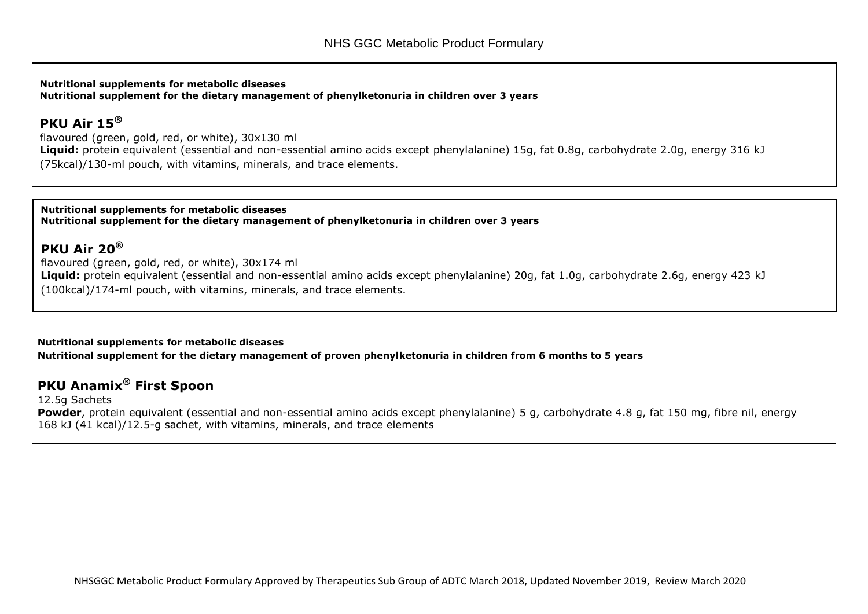**Nutritional supplements for metabolic diseases Nutritional supplement for the dietary management of phenylketonuria in children over 3 years**

#### **PKU Air 15®**

flavoured (green, gold, red, or white), 30x130 ml Liquid: protein equivalent (essential and non-essential amino acids except phenylalanine) 15g, fat 0.8g, carbohydrate 2.0g, energy 316 kJ (75kcal)/130-ml pouch, with vitamins, minerals, and trace elements.

**Nutritional supplements for metabolic diseases Nutritional supplement for the dietary management of phenylketonuria in children over 3 years**

### **PKU Air 20®**

flavoured (green, gold, red, or white), 30x174 ml **Liquid:** protein equivalent (essential and non-essential amino acids except phenylalanine) 20g, fat 1.0g, carbohydrate 2.6g, energy 423 kJ (100kcal)/174-ml pouch, with vitamins, minerals, and trace elements.

**Nutritional supplements for metabolic diseases**

**Nutritional supplement for the dietary management of proven phenylketonuria in children from 6 months to 5 years**

## **PKU Anamix® First Spoon**

12.5g Sachets **Powder**, protein equivalent (essential and non-essential amino acids except phenylalanine) 5 g, carbohydrate 4.8 g, fat 150 mg, fibre nil, energy 168 kJ (41 kcal)/12.5-g sachet, with vitamins, minerals, and trace elements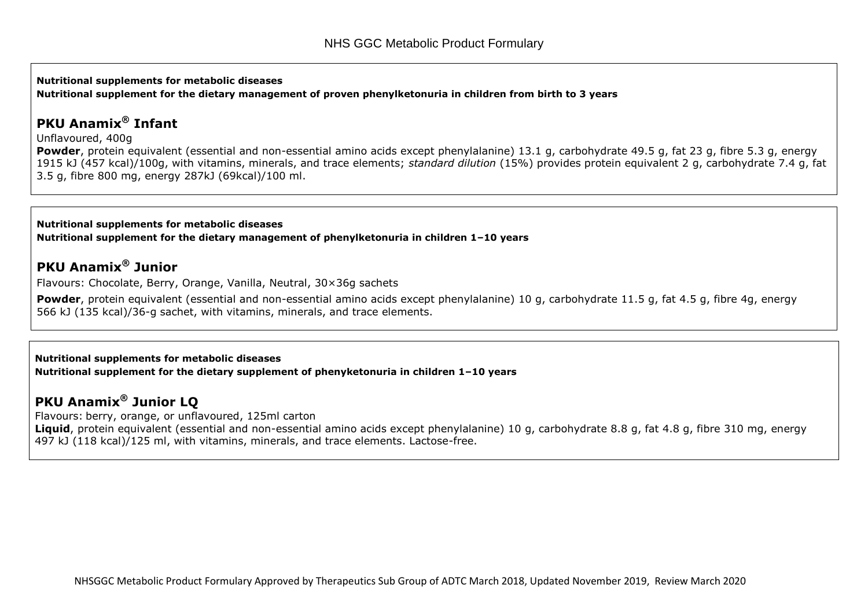**Nutritional supplements for metabolic diseases Nutritional supplement for the dietary management of proven phenylketonuria in children from birth to 3 years**

## **PKU Anamix® Infant**

Unflavoured, 400g

**Powder**, protein equivalent (essential and non-essential amino acids except phenylalanine) 13.1 g, carbohydrate 49.5 g, fat 23 g, fibre 5.3 g, energy 1915 kJ (457 kcal)/100g, with vitamins, minerals, and trace elements; *standard dilution* (15%) provides protein equivalent 2 g, carbohydrate 7.4 g, fat 3.5 g, fibre 800 mg, energy 287kJ (69kcal)/100 ml.

**Nutritional supplements for metabolic diseases Nutritional supplement for the dietary management of phenylketonuria in children 1–10 years**

## **PKU Anamix® Junior**

Flavours: Chocolate, Berry, Orange, Vanilla, Neutral, 30×36g sachets

**Powder**, protein equivalent (essential and non-essential amino acids except phenylalanine) 10 g, carbohydrate 11.5 g, fat 4.5 g, fibre 4g, energy 566 kJ (135 kcal)/36-g sachet, with vitamins, minerals, and trace elements.

**Nutritional supplements for metabolic diseases Nutritional supplement for the dietary supplement of phenyketonuria in children 1–10 years**

## **PKU Anamix® Junior LQ**

Flavours: [berry, orange, or unflavoured, 125ml carton](http://www.medicinescomplete.com/mc/bnf/current/PHP39-prices-in-the-bnf.htm) **Liquid**, protein equivalent (essential and non-essential amino acids except phenylalanine) 10 g, carbohydrate 8.8 g, fat 4.8 g, fibre 310 mg, energy 497 kJ (118 kcal)/125 ml, with vitamins, minerals, and trace elements. Lactose-free.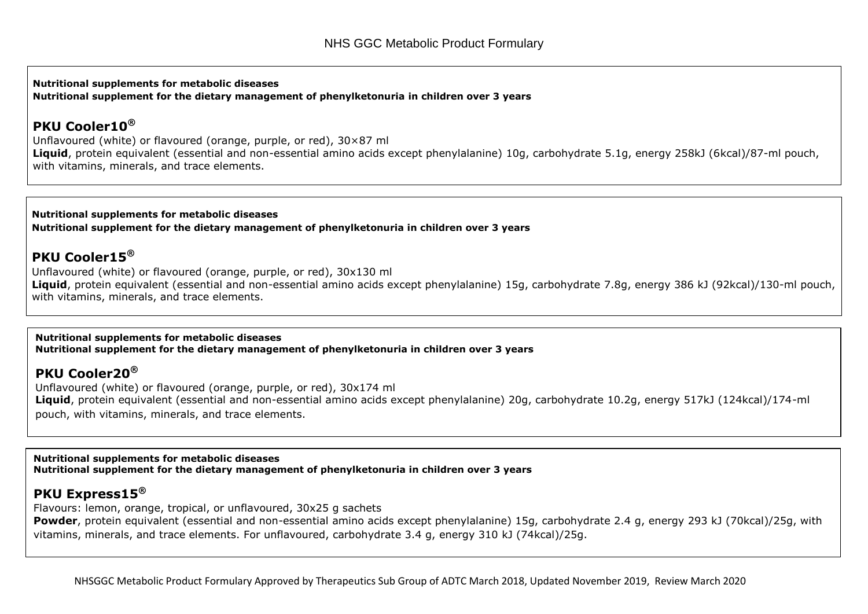**Nutritional supplements for metabolic diseases Nutritional supplement for the dietary management of phenylketonuria in children over 3 years**

## **PKU Cooler10®**

Unflavoured (white) or flavoured (orange, purple, or red), 30×87 ml **Liquid**, protein equivalent (essential and non-essential amino acids except phenylalanine) 10g, carbohydrate 5.1g, energy 258kJ (6kcal)/87-ml pouch, with vitamins, minerals, and trace elements.

**Nutritional supplements for metabolic diseases Nutritional supplement for the dietary management of phenylketonuria in children over 3 years**

## **PKU Cooler15®**

Unflavoured (white) or flavoured (orange, purple, or red), 30x130 ml **Liquid**, protein equivalent (essential and non-essential amino acids except phenylalanine) 15g, carbohydrate 7.8g, energy 386 kJ (92kcal)/130-ml pouch, with vitamins, minerals, and trace elements.

**Nutritional supplements for metabolic diseases Nutritional supplement for the dietary management of phenylketonuria in children over 3 years**

## **PKU Cooler20®**

Unflavoured (white) or flavoured (orange, purple, or red), 30x174 ml **Liquid**, protein equivalent (essential and non-essential amino acids except phenylalanine) 20g, carbohydrate 10.2g, energy 517kJ (124kcal)/174-ml pouch, with vitamins, minerals, and trace elements.

**Nutritional supplements for metabolic diseases Nutritional supplement for the dietary management of phenylketonuria in children over 3 years**

## **PKU Express15®**

Flavours: lemon, orange, tropical, or unflavoured, 30x25 g sachets **Powder**, protein equivalent (essential and non-essential amino acids except phenylalanine) 15g, carbohydrate 2.4 g, energy 293 kJ (70kcal)/25g, with vitamins, minerals, and trace elements. For unflavoured, carbohydrate 3.4 g, energy 310 kJ (74kcal)/25g.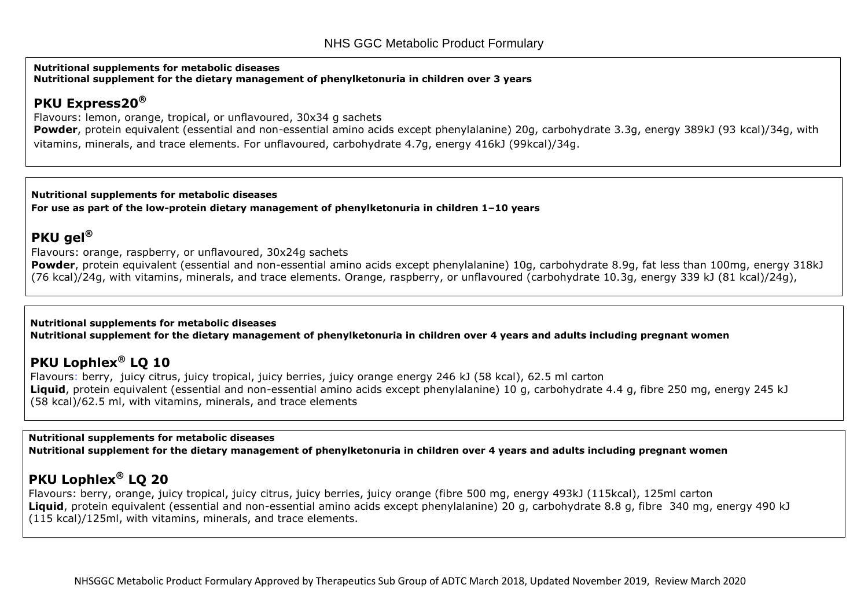**Nutritional supplements for metabolic diseases Nutritional supplement for the dietary management of phenylketonuria in children over 3 years**

## **PKU Express20®**

Flavours: lemon, orange, tropical, or unflavoured, 30x34 g sachets

**Powder**, protein equivalent (essential and non-essential amino acids except phenylalanine) 20g, carbohydrate 3.3g, energy 389kJ (93 kcal)/34g, with vitamins, minerals, and trace elements. For unflavoured, carbohydrate 4.7g, energy 416kJ (99kcal)/34g.

**Nutritional supplements for metabolic diseases For use as part of the low-protein dietary management of phenylketonuria in children 1–10 years**

## **PKU gel®**

Flavours: orange, raspberry, or unflavoured, 30x24g sachets

Powder, protein equivalent (essential and non-essential amino acids except phenylalanine) 10g, carbohydrate 8.9g, fat less than 100mg, energy 318kJ (76 kcal)/24g, with vitamins, minerals, and trace elements. Orange, raspberry, or unflavoured (carbohydrate 10.3g, energy 339 kJ (81 kcal)/24g),

#### **Nutritional supplements for metabolic diseases Nutritional supplement for the dietary management of phenylketonuria in children over 4 years and adults including pregnant women**

## **PKU Lophlex® LQ 10**

Flavours: berry, juicy citrus, juicy tropical, juicy berries, juicy orange energy 246 kJ (58 kcal), 62.5 ml carton **Liquid**, protein equivalent (essential and non-essential amino acids except phenylalanine) 10 g, carbohydrate 4.4 g, fibre 250 mg, energy 245 kJ (58 kcal)/62.5 ml, with vitamins, minerals, and trace elements

**Nutritional supplements for metabolic diseases Nutritional supplement for the dietary management of phenylketonuria in children over 4 years and adults including pregnant women**

## **PKU Lophlex® LQ 20**

Flavours: berry, orange, juicy tropical, juicy citrus, juicy berries, juicy orange (fibre 500 mg, energy 493kJ (115kcal), 125ml carton **Liquid**, protein equivalent (essential and non-essential amino acids except phenylalanine) 20 g, carbohydrate 8.8 g, fibre 340 mg, energy 490 kJ (115 kcal)/125ml, with vitamins, minerals, and trace elements.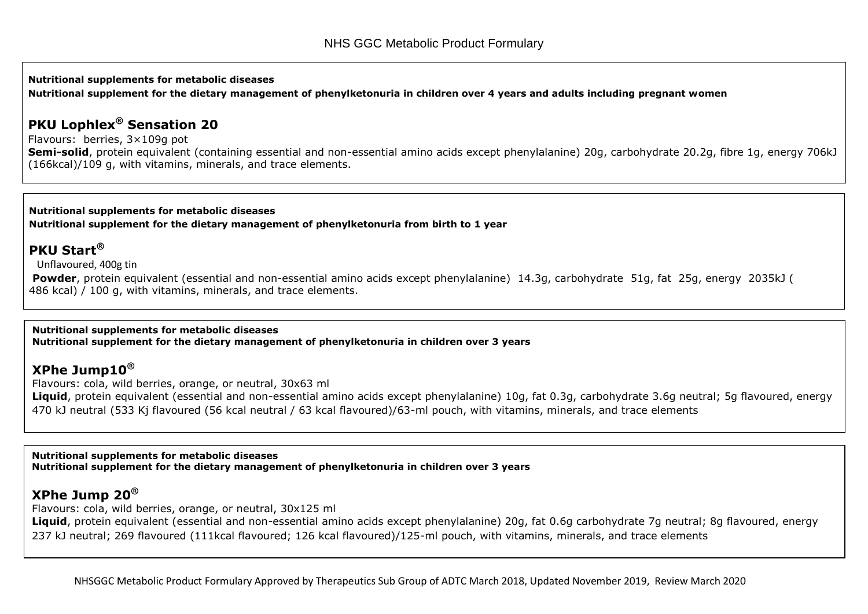#### **Nutritional supplements for metabolic diseases Nutritional supplement for the dietary management of phenylketonuria in children over 4 years and adults including pregnant women**

### **PKU Lophlex® Sensation 20**

Flavours: berries, 3×109g pot

**Semi-solid**, protein equivalent (containing essential and non-essential amino acids except phenylalanine) 20g, carbohydrate 20.2g, fibre 1g, energy 706kJ (166kcal)/109 g, with vitamins, minerals, and trace elements.

**Nutritional supplements for metabolic diseases Nutritional supplement for the dietary management of phenylketonuria from birth to 1 year**

## **PKU Start®**

Unflavoured, 400g tin

**Powder**, protein equivalent (essential and non-essential amino acids except phenylalanine) 14.3g, carbohydrate 51g, fat 25g, energy 2035kJ ( 486 kcal) / 100 g, with vitamins, minerals, and trace elements.

**Nutritional supplements for metabolic diseases Nutritional supplement for the dietary management of phenylketonuria in children over 3 years**

## **XPhe Jump10®**

Flavours: cola, wild berries, orange, or neutral, 30x63 ml

Liquid, protein equivalent (essential and non-essential amino acids except phenylalanine) 10g, fat 0.3g, carbohydrate 3.6g neutral; 5g flavoured, energy 470 kJ neutral (533 Kj flavoured (56 kcal neutral / 63 kcal flavoured)/63-ml pouch, with vitamins, minerals, and trace elements

**Nutritional supplements for metabolic diseases Nutritional supplement for the dietary management of phenylketonuria in children over 3 years**

## **XPhe Jump 20®**

Flavours: cola, wild berries, orange, or neutral, 30x125 ml

Liquid, protein equivalent (essential and non-essential amino acids except phenylalanine) 20g, fat 0.6g carbohydrate 7g neutral; 8g flavoured, energy 237 kJ neutral; 269 flavoured (111kcal flavoured; 126 kcal flavoured)/125-ml pouch, with vitamins, minerals, and trace elements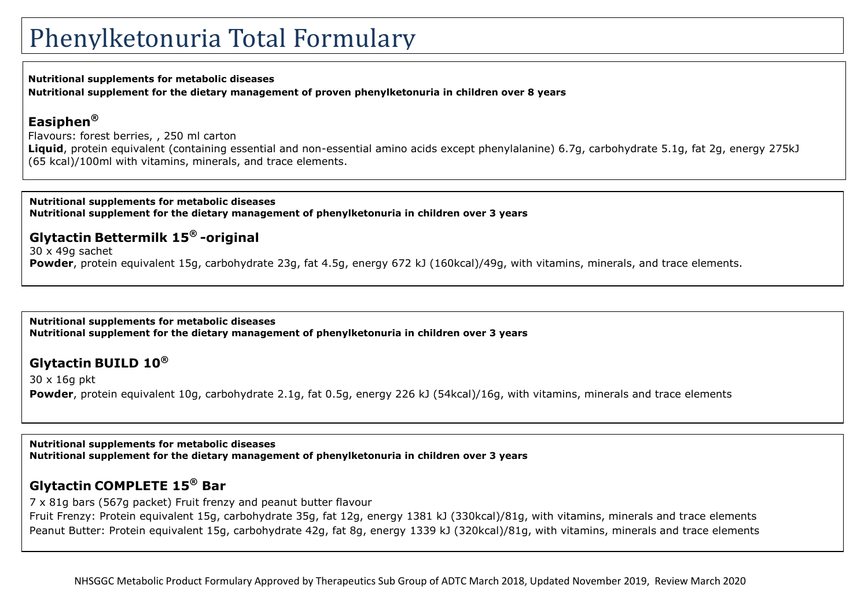#### **Nutritional supplements for metabolic diseases**

**Nutritional supplement for the dietary management of proven phenylketonuria in children over 8 years**

### **Easiphen®**

[Flavours: forest berries, , 250 ml carton](http://www.medicinescomplete.com/mc/bnf/current/PHP39-prices-in-the-bnf.htm)

**Liquid**, protein equivalent (containing essential and non-essential amino acids except phenylalanine) 6.7g, carbohydrate 5.1g, fat 2g, energy 275kJ (65 kcal)/100ml with vitamins, minerals, and trace elements.

#### **Nutritional supplements for metabolic diseases Nutritional supplement for the dietary management of phenylketonuria in children over 3 years**

## **Glytactin Bettermilk 15® -original**

30 x 49g sachet **Powder**, protein equivalent 15g, carbohydrate 23g, fat 4.5g, energy 672 kJ (160kcal)/49g, with vitamins, minerals, and trace elements.

**Nutritional supplements for metabolic diseases Nutritional supplement for the dietary management of phenylketonuria in children over 3 years**

## **Glytactin BUILD 10®**

30 x 16g pkt **Powder**, protein equivalent 10g, carbohydrate 2.1g, fat 0.5g, energy 226 kJ (54kcal)/16g, with vitamins, minerals and trace elements

**Nutritional supplements for metabolic diseases Nutritional supplement for the dietary management of phenylketonuria in children over 3 years**

## **Glytactin COMPLETE 15® Bar**

7 x 81g bars (567g packet) Fruit frenzy and peanut butter flavour

Fruit Frenzy: Protein equivalent 15g, carbohydrate 35g, fat 12g, energy 1381 kJ (330kcal)/81g, with vitamins, minerals and trace elements Peanut Butter: Protein equivalent 15g, carbohydrate 42g, fat 8g, energy 1339 kJ (320kcal)/81g, with vitamins, minerals and trace elements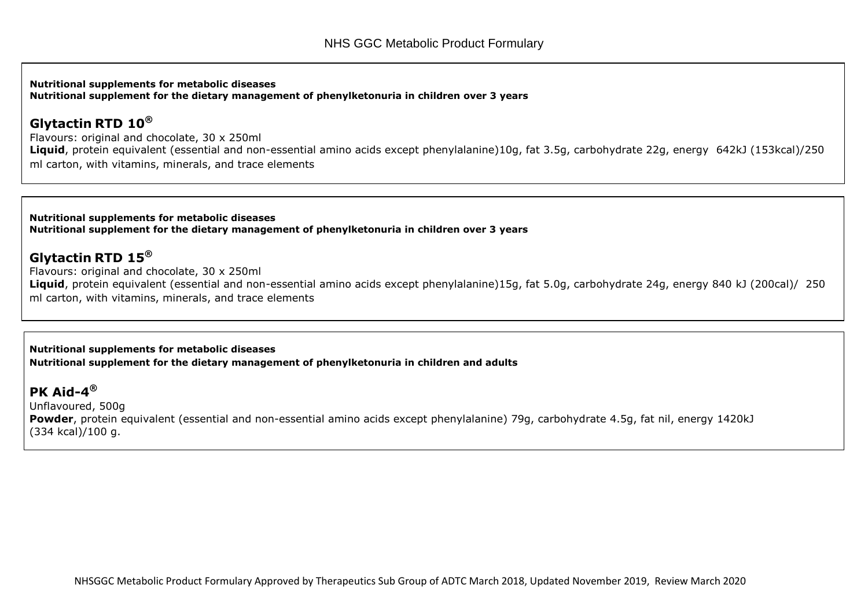**Nutritional supplements for metabolic diseases Nutritional supplement for the dietary management of phenylketonuria in children over 3 years**

### **Glytactin RTD 10®**

Flavours: original and chocolate, 30 x 250ml **Liquid**, protein equivalent (essential and non-essential amino acids except phenylalanine)10g, fat 3.5g, carbohydrate 22g, energy 642kJ (153kcal)/250 ml carton, with vitamins, minerals, and trace elements

**Nutritional supplements for metabolic diseases Nutritional supplement for the dietary management of phenylketonuria in children over 3 years**

### **Glytactin RTD 15®**

Flavours: original and chocolate, 30 x 250ml **Liquid**, protein equivalent (essential and non-essential amino acids except phenylalanine)15g, fat 5.0g, carbohydrate 24g, energy 840 kJ (200cal)/ 250 ml carton, with vitamins, minerals, and trace elements

**Nutritional supplements for metabolic diseases Nutritional supplement for the dietary management of phenylketonuria in children and adults** 

**PK Aid-4 ®** Unflavoured, 500g **Powder**, protein equivalent (essential and non-essential amino acids except phenylalanine) 79g, carbohydrate 4.5g, fat nil, energy 1420kJ (334 kcal)/100 g.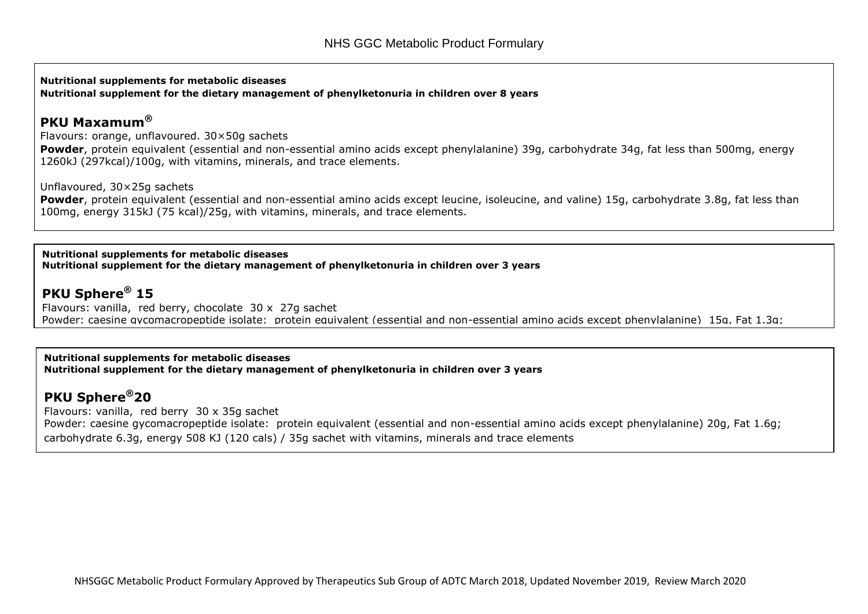**Nutritional supplements for metabolic diseases Nutritional supplement for the dietary management of phenylketonuria in children over 8 years**

#### **PKU Maxamum®**

Flavours: orange, unflavoured. 30×50g sachets

**Powder**, protein equivalent (essential and non-essential amino acids except phenylalanine) 39g, carbohydrate 34g, fat less than 500mg, energy 1260kJ (297kcal)/100g, with vitamins, minerals, and trace elements.

Unflavoured, 30×25g sachets

**Powder**, protein equivalent (essential and non-essential amino acids except leucine, isoleucine, and valine) 15g, carbohydrate 3.8g, fat less than 100mg, energy 315kJ (75 kcal)/25g, with vitamins, minerals, and trace elements.

**Nutritional supplements for metabolic diseases Nutritional supplement for the dietary management of phenylketonuria in children over 3 years**

## **PKU Sphere® 15**

Flavours: vanilla, red berry, chocolate 30 x 27g sachet Powder: caesine gycomacropeptide isolate: protein equivalent (essential and non-essential amino acids except phenylalanine) 15g, Fat 1.3g;

**Nutritional supplements for metabolic diseases Nutritional supplement for the dietary management of phenylketonuria in children over 3 years**

## **PKU Sphere®20**

Flavours: vanilla, red berry 30 x 35g sachet Powder: caesine gycomacropeptide isolate: protein equivalent (essential and non-essential amino acids except phenylalanine) 20g, Fat 1.6g; carbohydrate 6.3g, energy 508 KJ (120 cals) / 35g sachet with vitamins, minerals and trace elements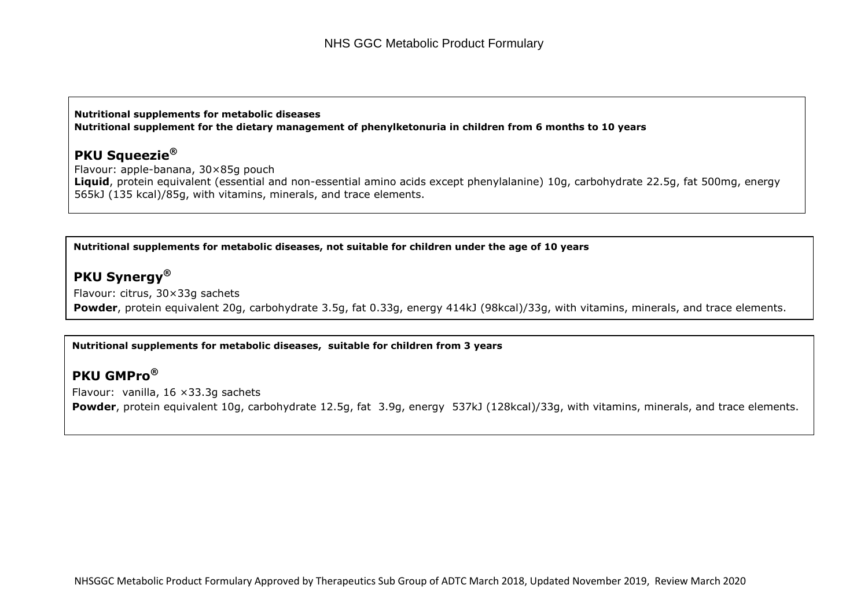#### **Nutritional supplements for metabolic diseases Nutritional supplement for the dietary management of phenylketonuria in children from 6 months to 10 years**

### **PKU Squeezie®**

Flavour: apple-banana, 30×85g pouch **Liquid**, protein equivalent (essential and non-essential amino acids except phenylalanine) 10g, carbohydrate 22.5g, fat 500mg, energy 565kJ (135 kcal)/85g, with vitamins, minerals, and trace elements.

#### **Nutritional supplements for metabolic diseases, not suitable for children under the age of 10 years**

### **PKU Synergy®**

Flavour: citrus, 30×33g sachets **Powder**, protein equivalent 20g, carbohydrate 3.5g, fat 0.33g, energy 414kJ (98kcal)/33g, with vitamins, minerals, and trace elements.

#### **Nutritional supplements for metabolic diseases, suitable for children from 3 years**

### **PKU GMPro®**

Flavour: vanilla, 16 ×33.3g sachets **Powder**, protein equivalent 10g, carbohydrate 12.5g, fat 3.9g, energy 537kJ (128kcal)/33g, with vitamins, minerals, and trace elements.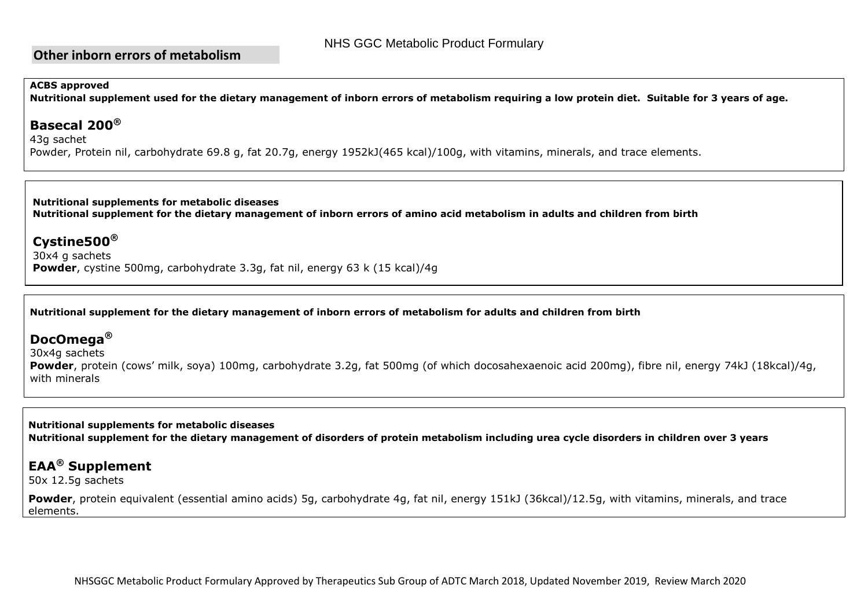### **Other inborn errors of metabolism**

#### **ACBS approved**

**Nutritional supplement used for the dietary management of inborn errors of metabolism requiring a low protein diet. Suitable for 3 years of age.**

#### **Basecal 200®**

43g sachet Powder, Protein nil, carbohydrate 69.8 g, fat 20.7g, energy 1952kJ(465 kcal)/100g, with vitamins, minerals, and trace elements.

**Nutritional supplements for metabolic diseases Nutritional supplement for the dietary management of inborn errors of amino acid metabolism in adults and children from birth**

### **Cystine500®**

30x4 g sachets **Powder**, cystine 500mg, carbohydrate 3.3g, fat nil, energy 63 k (15 kcal)/4g

**Nutritional supplement for the dietary management of inborn errors of metabolism for adults and children from birth**

### **DocOmega®**

30x4g sachets

**Powder**, protein (cows' milk, soya) 100mg, carbohydrate 3.2g, fat 500mg (of which docosahexaenoic acid 200mg), fibre nil, energy 74kJ (18kcal)/4g, with minerals

**Nutritional supplements for metabolic diseases Nutritional supplement for the dietary management of disorders of protein metabolism including urea cycle disorders in children over 3 years**

## **EAA® Supplement**

50x 12.5g sachets

**Powder**, protein equivalent (essential amino acids) 5g, carbohydrate 4g, fat nil, energy 151kJ (36kcal)/12.5g, with vitamins, minerals, and trace elements.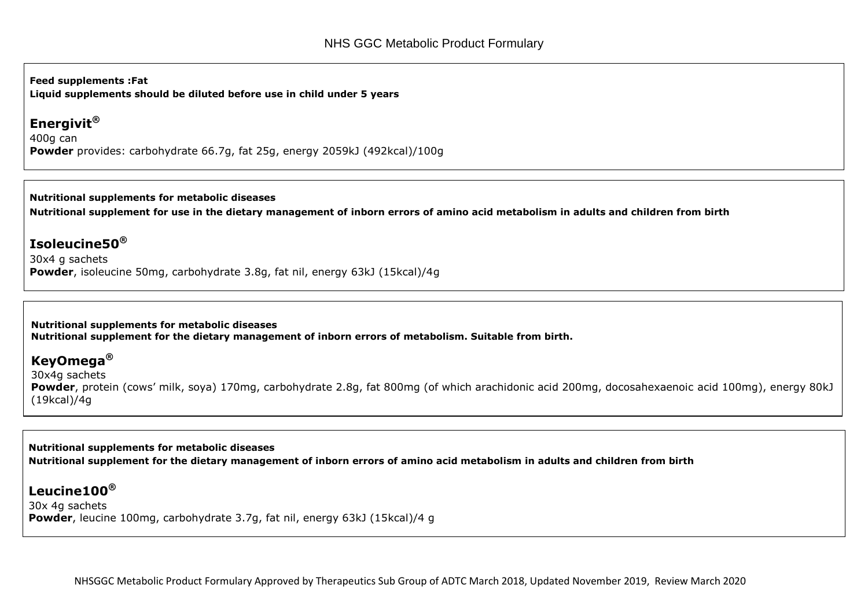**Feed supplements :Fat Liquid supplements should be diluted before use in child under 5 years**

## **Energivit®**

400g can **Powder** provides: carbohydrate 66.7g, fat 25g, energy 2059kJ (492kcal)/100g

**Nutritional supplements for metabolic diseases Nutritional supplement for use in the dietary management of inborn errors of amino acid metabolism in adults and children from birth**

## **Isoleucine50®**

30x4 g sachets **Powder**, isoleucine 50mg, carbohydrate 3.8g, fat nil, energy 63kJ (15kcal)/4g

**Nutritional supplements for metabolic diseases Nutritional supplement for the dietary management of inborn errors of metabolism. Suitable from birth.**

## **KeyOmega®**

30x4g sachets **Powder**, protein (cows' milk, soya) 170mg, carbohydrate 2.8g, fat 800mg (of which arachidonic acid 200mg, docosahexaenoic acid 100mg), energy 80kJ (19kcal)/4g

**Nutritional supplements for metabolic diseases Nutritional supplement for the dietary management of inborn errors of amino acid metabolism in adults and children from birth**

## **Leucine100®**

30x 4g sachets **Powder**, leucine 100mg, carbohydrate 3.7g, fat nil, energy 63kJ (15kcal)/4 g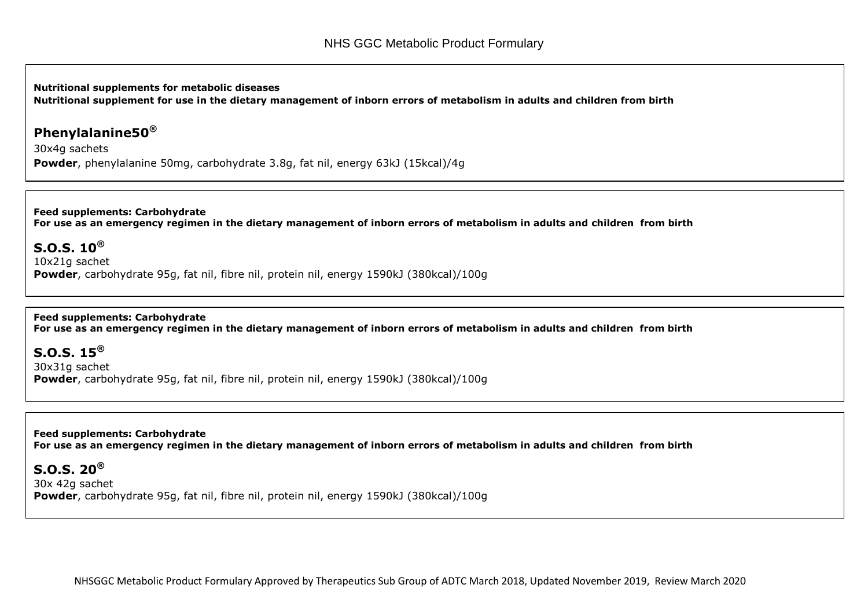**Nutritional supplements for metabolic diseases Nutritional supplement for use in the dietary management of inborn errors of metabolism in adults and children from birth**

### **Phenylalanine50®**

30x4g sachets **Powder**, phenylalanine 50mg, carbohydrate 3.8g, fat nil, energy 63kJ (15kcal)/4g

**Feed supplements: Carbohydrate For use as an emergency regimen in the dietary management of inborn errors of metabolism in adults and children from birth**

**S.O.S. 10®** 10x21g sachet **Powder**, carbohydrate 95g, fat nil, fibre nil, protein nil, energy 1590kJ (380kcal)/100g

**Feed supplements: Carbohydrate For use as an emergency regimen in the dietary management of inborn errors of metabolism in adults and children from birth**

**S.O.S. 15®** 30x31g sachet **Powder**, carbohydrate 95g, fat nil, fibre nil, protein nil, energy 1590kJ (380kcal)/100g

**Feed supplements: Carbohydrate For use as an emergency regimen in the dietary management of inborn errors of metabolism in adults and children from birth**

**S.O.S. 20®** 30x 42g sachet **Powder**, carbohydrate 95g, fat nil, fibre nil, protein nil, energy 1590kJ (380kcal)/100g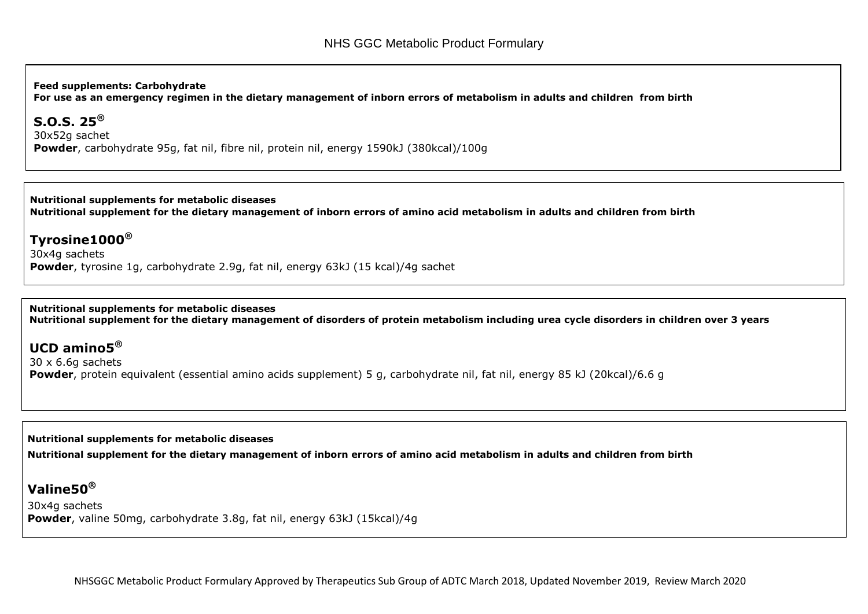**Feed supplements: Carbohydrate**

**For use as an emergency regimen in the dietary management of inborn errors of metabolism in adults and children from birth**

#### **S.O.S. 25®**

30x52g sachet **Powder**, carbohydrate 95g, fat nil, fibre nil, protein nil, energy 1590kJ (380kcal)/100g

**Nutritional supplements for metabolic diseases Nutritional supplement for the dietary management of inborn errors of amino acid metabolism in adults and children from birth**

### **Tyrosine1000®**

30x4g sachets **Powder**, tyrosine 1g, carbohydrate 2.9g, fat nil, energy 63kJ (15 kcal)/4g sachet

**Nutritional supplements for metabolic diseases Nutritional supplement for the dietary management of disorders of protein metabolism including urea cycle disorders in children over 3 years**

## **UCD amino5®**

30 x 6.6g sachets **Powder**, protein equivalent (essential amino acids supplement) 5 g, carbohydrate nil, fat nil, energy 85 kJ (20kcal)/6.6 g

**Nutritional supplements for metabolic diseases Nutritional supplement for the dietary management of inborn errors of amino acid metabolism in adults and children from birth**

## **Valine50®**

30x4g sachets **Powder**, valine 50mg, carbohydrate 3.8g, fat nil, energy 63kJ (15kcal)/4g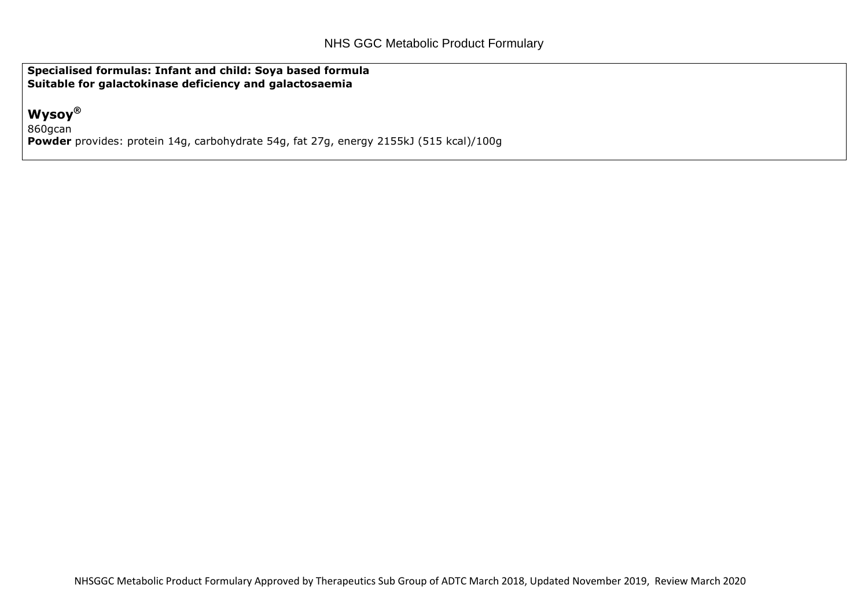**Specialised formulas: Infant and child: Soya based formula Suitable for galactokinase deficiency and galactosaemia**

## **Wysoy®**

860gcan **Powder** provides: protein 14g, carbohydrate 54g, fat 27g, energy 2155kJ (515 kcal)/100g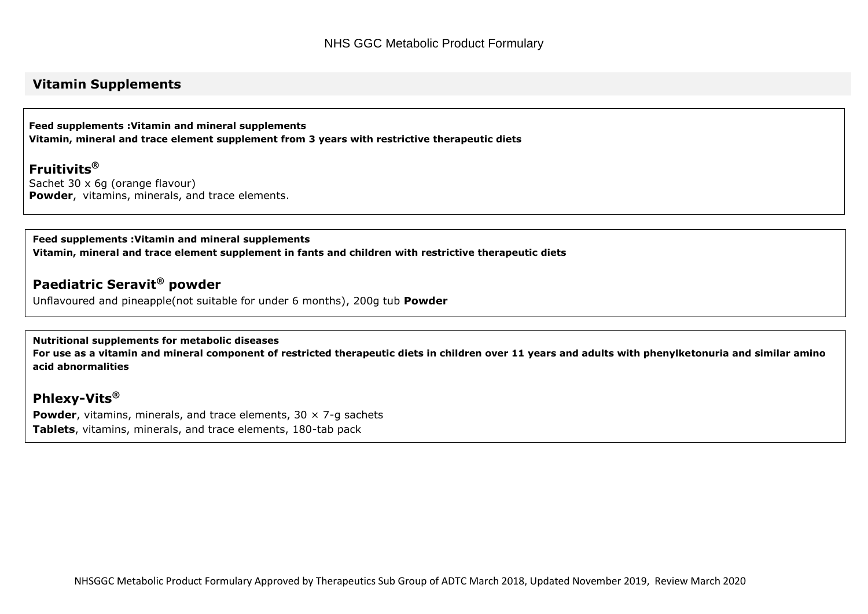### **Vitamin Supplements**

**Feed supplements :Vitamin and mineral supplements Vitamin, mineral and trace element supplement from 3 years with restrictive therapeutic diets**

**Fruitivits®** Sachet 30 x 6g (orange flavour) **Powder**, vitamins, minerals, and trace elements.

**Feed supplements :Vitamin and mineral supplements Vitamin, mineral and trace element supplement in fants and children with restrictive therapeutic diets**

### **Paediatric Seravit® powder**

Unflavoured and pineapple(not suitable for under 6 months), 200g tub **Powder**

**Nutritional supplements for metabolic diseases**

**For use as a vitamin and mineral component of restricted therapeutic diets in children over 11 years and adults with phenylketonuria and similar amino acid abnormalities**

**Phlexy-Vits®**

**Powder**, vitamins, minerals, and trace elements, 30  $\times$  7-g sachets **Tablets**[, vitamins, minerals, and trace elements, 180-tab pack](http://www.medicinescomplete.com/mc/bnfc/current/PHP10916-prices-in-bnfc.htm)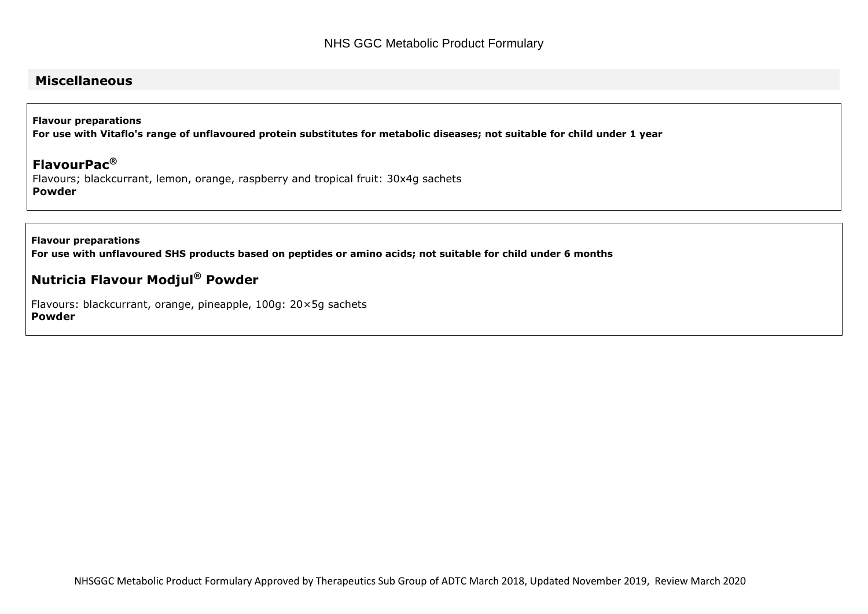### **Miscellaneous**

**Flavour preparations For use with Vitaflo's range of unflavoured protein substitutes for metabolic diseases; not suitable for child under 1 year**

**FlavourPac®** Flavours; blackcurrant, lemon, orange, raspberry and tropical fruit: 30x4g sachets **Powder**

**Flavour preparations For use with unflavoured SHS products based on peptides or amino acids; not suitable for child under 6 months**

### **Nutricia Flavour Modjul® Powder**

Flavours: blackcurrant, orange, pineapple, 100g: 20×5g sachets **Powder**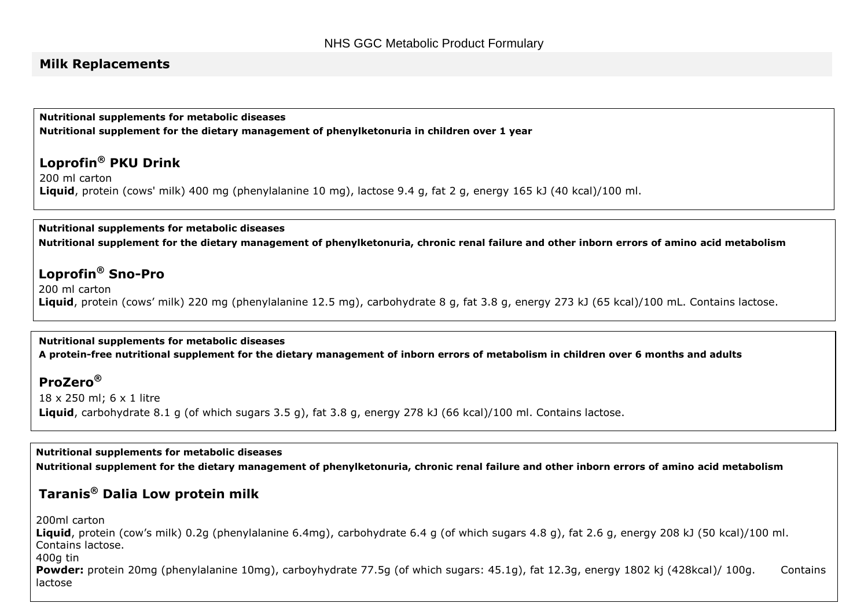#### **Milk Replacements**

**Nutritional supplements for metabolic diseases Nutritional supplement for the dietary management of phenylketonuria in children over 1 year**

### **Loprofin® PKU Drink**

200 ml carton **Liquid**, protein (cows' milk) 400 mg (phenylalanine 10 mg), lactose 9.4 g, fat 2 g, energy 165 kJ (40 kcal)/100 ml.

**Nutritional supplements for metabolic diseases Nutritional supplement for the dietary management of phenylketonuria, chronic renal failure and other inborn errors of amino acid metabolism** 

### **Loprofin® Sno-Pro**

200 ml carton **Liquid**, protein (cows' milk) 220 mg (phenylalanine 12.5 mg), carbohydrate 8 g, fat 3.8 g, energy 273 kJ (65 kcal)/100 mL. Contains lactose.

#### **Nutritional supplements for metabolic diseases**

**A protein-free nutritional supplement for the dietary management of inborn errors of metabolism in children over 6 months and adults**

### **ProZero®**

18 x 250 ml; 6 x 1 litre **Liquid**, carbohydrate 8.1 g (of which sugars 3.5 g), fat 3.8 g, energy 278 kJ (66 kcal)/100 ml. Contains lactose.

**Nutritional supplements for metabolic diseases Nutritional supplement for the dietary management of phenylketonuria, chronic renal failure and other inborn errors of amino acid metabolism** 

### **Taranis® Dalia Low protein milk**

200ml carton

**Liquid**, protein (cow's milk) 0.2g (phenylalanine 6.4mg), carbohydrate 6.4 g (of which sugars 4.8 g), fat 2.6 g, energy 208 kJ (50 kcal)/100 ml. Contains lactose.

400g tin

Powder: protein 20mg (phenylalanine 10mg), carboyhydrate 77.5g (of which sugars: 45.1g), fat 12.3g, energy 1802 kj (428kcal)/ 100g. Contains lactose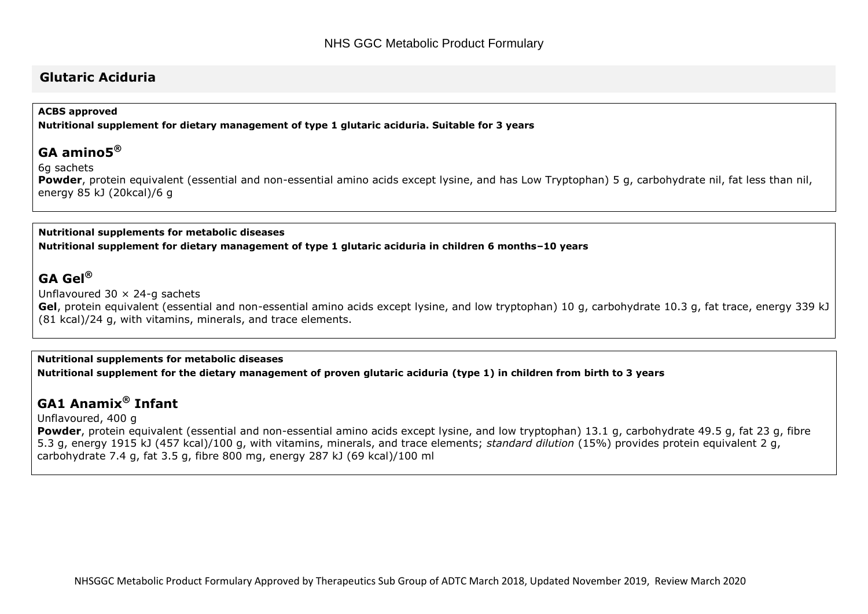#### **Glutaric Aciduria**

#### **ACBS approved**

**Nutritional supplement for dietary management of type 1 glutaric aciduria. Suitable for 3 years**

#### **GA amino5®**

6g sachets

Powder, protein equivalent (essential and non-essential amino acids except lysine, and has Low Tryptophan) 5 g, carbohydrate nil, fat less than nil, energy 85 kJ (20kcal)/6 g

#### **Nutritional supplements for metabolic diseases Nutritional supplement for dietary management of type 1 glutaric aciduria in children 6 months–10 years**

### **GA Gel®**

Unflavoured  $30 \times 24$ -g sachets

**Gel**, protein equivalent (essential and non-essential amino acids except lysine, and low tryptophan) 10 g, carbohydrate 10.3 g, fat trace, energy 339 kJ (81 kcal)/24 g, with vitamins, minerals, and trace elements.

**Nutritional supplements for metabolic diseases Nutritional supplement for the dietary management of proven glutaric aciduria (type 1) in children from birth to 3 years**

## **GA1 Anamix® Infant**

Unflavoured, 400 g

**Powder**, protein equivalent (essential and non-essential amino acids except lysine, and low tryptophan) 13.1 g, carbohydrate 49.5 g, fat 23 g, fibre 5.3 g, energy 1915 kJ (457 kcal)/100 g, with vitamins, minerals, and trace elements; *standard dilution* (15%) provides protein equivalent 2 g, carbohydrate 7.4 g, fat 3.5 g, fibre 800 mg, energy 287 kJ (69 kcal)/100 ml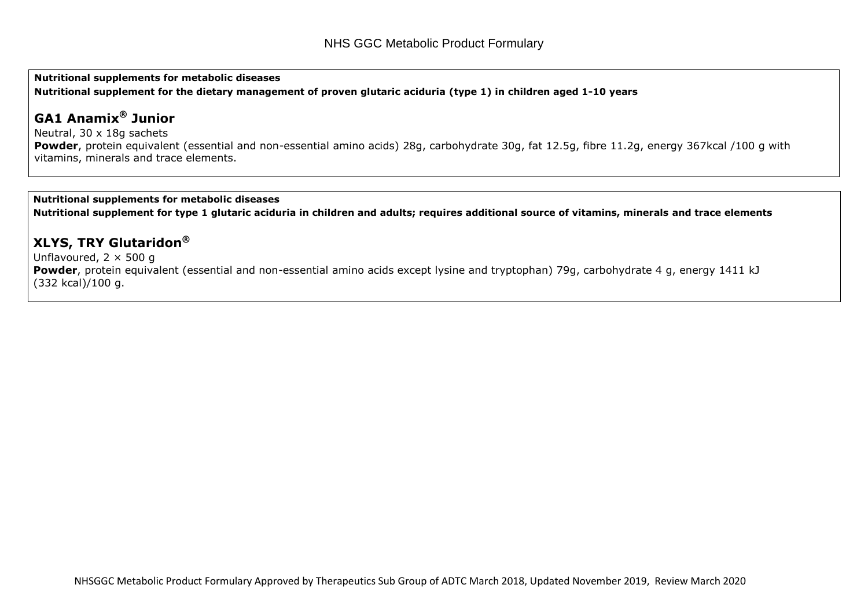**Nutritional supplements for metabolic diseases Nutritional supplement for the dietary management of proven glutaric aciduria (type 1) in children aged 1-10 years**

## **GA1 Anamix® Junior**

Neutral, 30 x 18g sachets Powder, protein equivalent (essential and non-essential amino acids) 28g, carbohydrate 30g, fat 12.5g, fibre 11.2g, energy 367kcal /100 g with vitamins, minerals and trace elements.

#### **Nutritional supplements for metabolic diseases**

**Nutritional supplement for type 1 glutaric aciduria in children and adults; requires additional source of vitamins, minerals and trace elements** 

### **XLYS, TRY Glutaridon®**

Unflavoured,  $2 \times 500$  g

**Powder**, protein equivalent (essential and non-essential amino acids except lysine and tryptophan) 79g, carbohydrate 4 g, energy 1411 kJ (332 kcal)/100 g.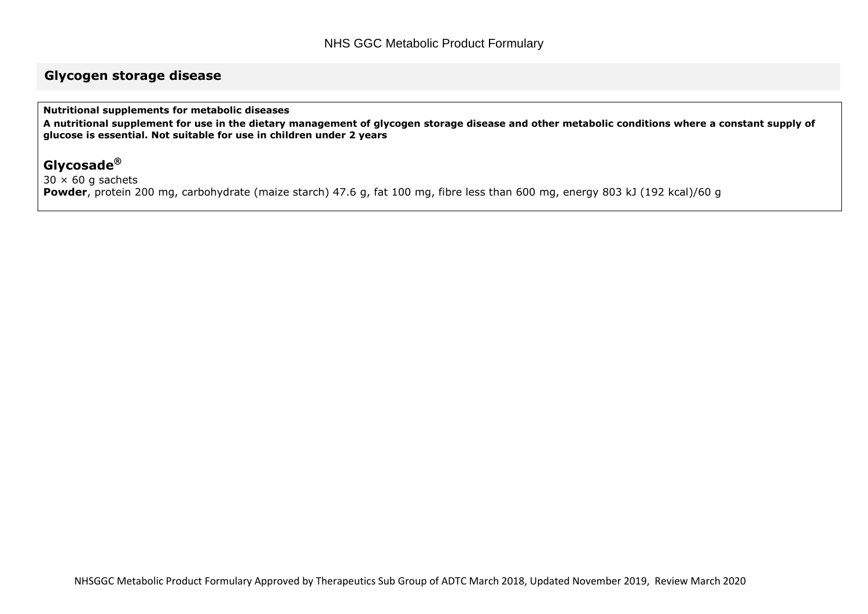### **Glycogen storage disease**

**Nutritional supplements for metabolic diseases**

**A nutritional supplement for use in the dietary management of glycogen storage disease and other metabolic conditions where a constant supply of glucose is essential. Not suitable for use in children under 2 years**

## **Glycosade®**

 $30 \times 60$  g sachets

**Powder**, protein 200 mg, carbohydrate (maize starch) 47.6 g, fat 100 mg, fibre less than 600 mg, energy 803 kJ (192 kcal)/60 g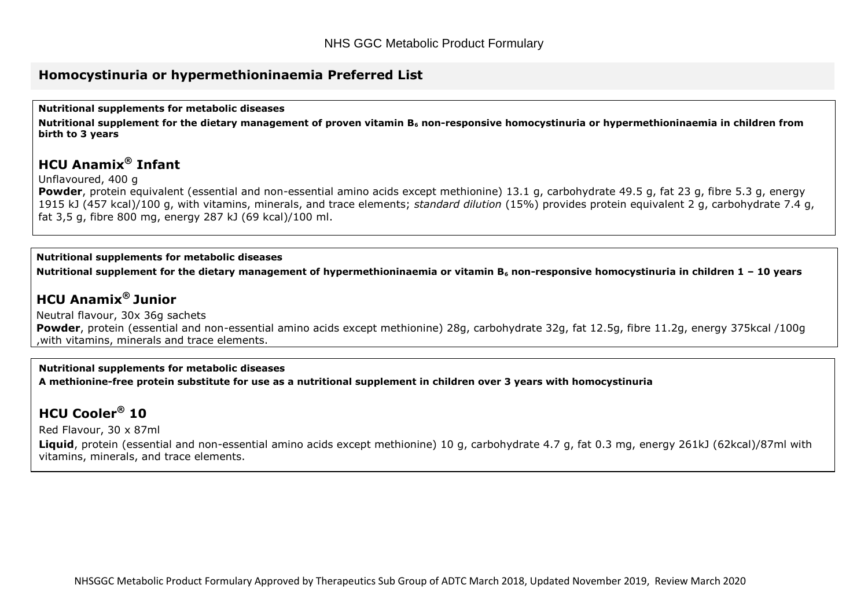### **Homocystinuria or hypermethioninaemia Preferred List**

**Nutritional supplements for metabolic diseases**

**Nutritional supplement for the dietary management of proven vitamin B<sup>6</sup> non-responsive homocystinuria or hypermethioninaemia in children from birth to 3 years**

## **HCU Anamix® Infant**

Unflavoured, 400 g

**Powder**, protein equivalent (essential and non-essential amino acids except methionine) 13.1 g, carbohydrate 49.5 g, fat 23 g, fibre 5.3 g, energy 1915 kJ (457 kcal)/100 g, with vitamins, minerals, and trace elements; *standard dilution* (15%) provides protein equivalent 2 g, carbohydrate 7.4 g, fat 3,5 g, fibre 800 mg, energy 287 kJ (69 kcal)/100 ml.

#### **Nutritional supplements for metabolic diseases**

**Nutritional supplement for the dietary management of hypermethioninaemia or vitamin B<sup>6</sup> non-responsive homocystinuria in children 1 – 10 years**

## **HCU Anamix® Junior**

Neutral flavour, 30x 36g sachets **Powder**, protein (essential and non-essential amino acids except methionine) 28g, carbohydrate 32g, fat 12.5g, fibre 11.2g, energy 375kcal /100g ,with vitamins, minerals and trace elements.

#### **Nutritional supplements for metabolic diseases**

**A methionine-free protein substitute for use as a nutritional supplement in children over 3 years with homocystinuria**

## **HCU Cooler® 10**

Red Flavour, 30 x 87ml

**Liquid**, protein (essential and non-essential amino acids except methionine) 10 g, carbohydrate 4.7 g, fat 0.3 mg, energy 261kJ (62kcal)/87ml with vitamins, minerals, and trace elements.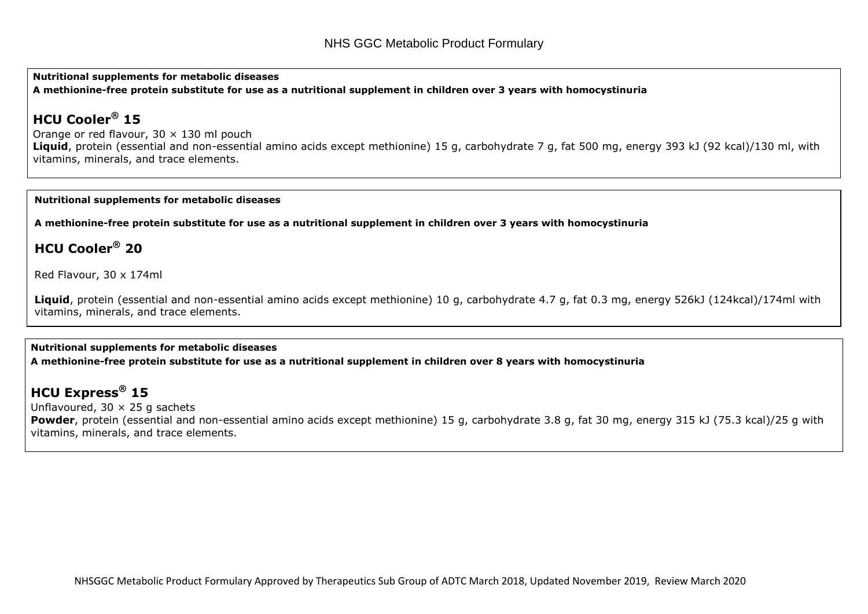**Nutritional supplements for metabolic diseases A methionine-free protein substitute for use as a nutritional supplement in children over 3 years with homocystinuria**

## **HCU Cooler® 15**

Orange or red flavour,  $30 \times 130$  ml pouch **Liquid**, protein (essential and non-essential amino acids except methionine) 15 g, carbohydrate 7 g, fat 500 mg, energy 393 kJ (92 kcal)/130 ml, with vitamins, minerals, and trace elements.

#### **Nutritional supplements for metabolic diseases**

**A methionine-free protein substitute for use as a nutritional supplement in children over 3 years with homocystinuria**

## **HCU Cooler® 20**

Red Flavour, 30 x 174ml

**Liquid**, protein (essential and non-essential amino acids except methionine) 10 g, carbohydrate 4.7 g, fat 0.3 mg, energy 526kJ (124kcal)/174ml with vitamins, minerals, and trace elements.

#### **Nutritional supplements for metabolic diseases A methionine-free protein substitute for use as a nutritional supplement in children over 8 years with homocystinuria**

## **HCU Express® 15**

Unflavoured,  $30 \times 25$  g sachets **Powder**, protein (essential and non-essential amino acids except methionine) 15 g, carbohydrate 3.8 g, fat 30 mg, energy 315 kJ (75.3 kcal)/25 g with vitamins, minerals, and trace elements.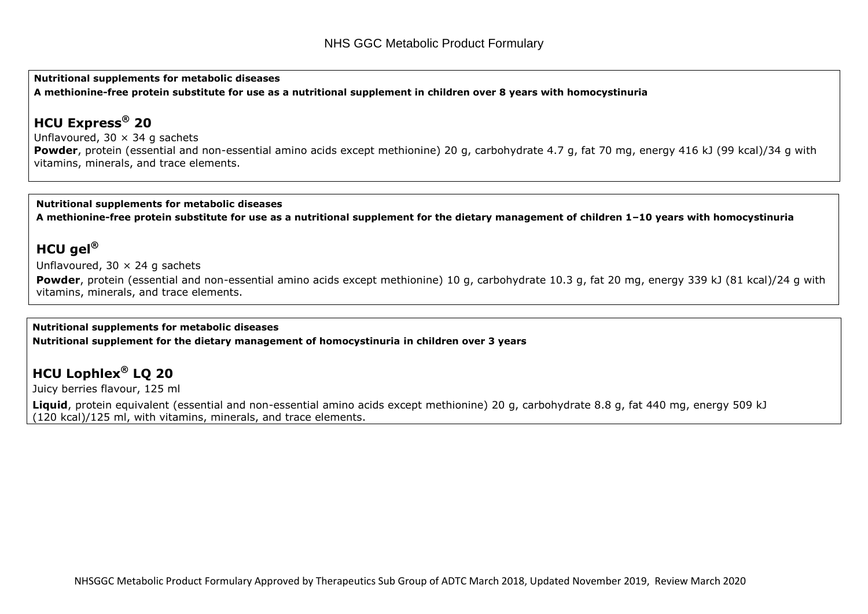**Nutritional supplements for metabolic diseases**

**A methionine-free protein substitute for use as a nutritional supplement in children over 8 years with homocystinuria**

## **HCU Express® 20**

Unflavoured,  $30 \times 34$  g sachets Powder, protein (essential and non-essential amino acids except methionine) 20 g, carbohydrate 4.7 g, fat 70 mg, energy 416 kJ (99 kcal)/34 g with vitamins, minerals, and trace elements.

#### **Nutritional supplements for metabolic diseases**

**A methionine-free protein substitute for use as a nutritional supplement for the dietary management of children 1–10 years with homocystinuria**

## **HCU gel®**

Unflavoured,  $30 \times 24$  g sachets

**Powder**, protein (essential and non-essential amino acids except methionine) 10 g, carbohydrate 10.3 g, fat 20 mg, energy 339 kJ (81 kcal)/24 g with vitamins, minerals, and trace elements.

#### **Nutritional supplements for metabolic diseases Nutritional supplement for the dietary management of homocystinuria in children over 3 years**

## **HCU Lophlex® LQ 20**

Juicy berries flavour, 125 ml

**Liquid**, protein equivalent (essential and non-essential amino acids except methionine) 20 g, carbohydrate 8.8 g, fat 440 mg, energy 509 kJ (120 kcal)/125 ml, with vitamins, minerals, and trace elements.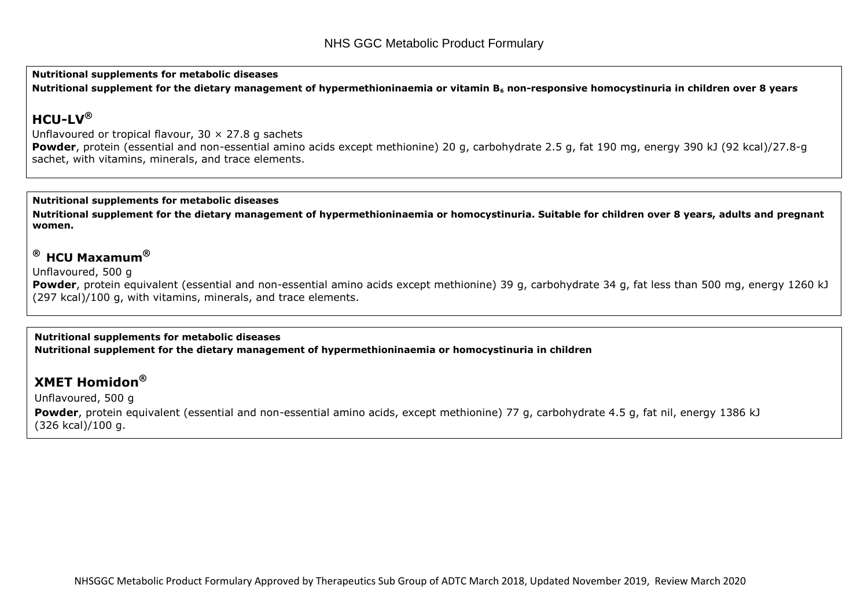**Nutritional supplements for metabolic diseases**

**Nutritional supplement for the dietary management of hypermethioninaemia or vitamin B<sup>6</sup> non-responsive homocystinuria in children over 8 years**

## **HCU-LV®**

Unflavoured or tropical flavour,  $30 \times 27.8$  g sachets **Powder**, protein (essential and non-essential amino acids except methionine) 20 g, carbohydrate 2.5 g, fat 190 mg, energy 390 kJ (92 kcal)/27.8-g sachet, with vitamins, minerals, and trace elements.

#### **Nutritional supplements for metabolic diseases**

**Nutritional supplement for the dietary management of hypermethioninaemia or homocystinuria. Suitable for children over 8 years, adults and pregnant women.**

### **® HCU Maxamum®**

Unflavoured, 500 g

**Powder**, protein equivalent (essential and non-essential amino acids except methionine) 39 g, carbohydrate 34 g, fat less than 500 mg, energy 1260 kJ (297 kcal)/100 g, with vitamins, minerals, and trace elements.

#### **Nutritional supplements for metabolic diseases**

**Nutritional supplement for the dietary management of hypermethioninaemia or homocystinuria in children** 

### **XMET Homidon®**

Unflavoured, 500 g **Powder**, protein equivalent (essential and non-essential amino acids, except methionine) 77 g, carbohydrate 4.5 g, fat nil, energy 1386 kJ (326 kcal)/100 g.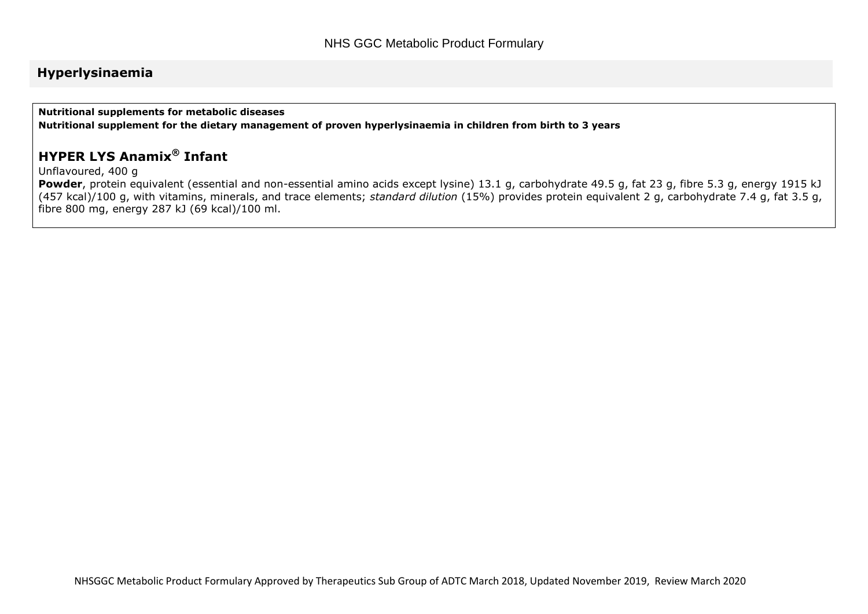### **Hyperlysinaemia**

**Nutritional supplements for metabolic diseases**

**Nutritional supplement for the dietary management of proven hyperlysinaemia in children from birth to 3 years**

## **HYPER LYS Anamix® Infant**

Unflavoured, 400 g

**Powder**, protein equivalent (essential and non-essential amino acids except lysine) 13.1 g, carbohydrate 49.5 g, fat 23 g, fibre 5.3 g, energy 1915 kJ (457 kcal)/100 g, with vitamins, minerals, and trace elements; *standard dilution* (15%) provides protein equivalent 2 g, carbohydrate 7.4 g, fat 3.5 g, fibre 800 mg, energy 287 kJ (69 kcal)/100 ml.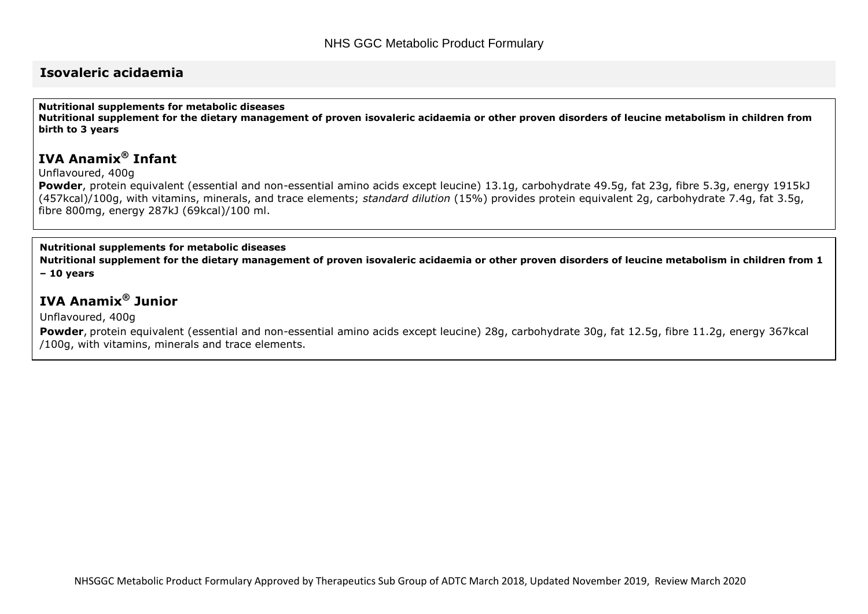### **Isovaleric acidaemia**

**Nutritional supplements for metabolic diseases**

**Nutritional supplement for the dietary management of proven isovaleric acidaemia or other proven disorders of leucine metabolism in children from birth to 3 years**

## **IVA Anamix® Infant**

Unflavoured, 400g

**Powder**, protein equivalent (essential and non-essential amino acids except leucine) 13.1g, carbohydrate 49.5g, fat 23g, fibre 5.3g, energy 1915kJ (457kcal)/100g, with vitamins, minerals, and trace elements; *standard dilution* (15%) provides protein equivalent 2g, carbohydrate 7.4g, fat 3.5g, fibre 800mg, energy 287kJ (69kcal)/100 ml.

#### **Nutritional supplements for metabolic diseases**

**Nutritional supplement for the dietary management of proven isovaleric acidaemia or other proven disorders of leucine metabolism in children from 1 – 10 years**

## **IVA Anamix® Junior**

Unflavoured, 400g

**Powder**, protein equivalent (essential and non-essential amino acids except leucine) 28g, carbohydrate 30g, fat 12.5g, fibre 11.2g, energy 367kcal /100g, with vitamins, minerals and trace elements.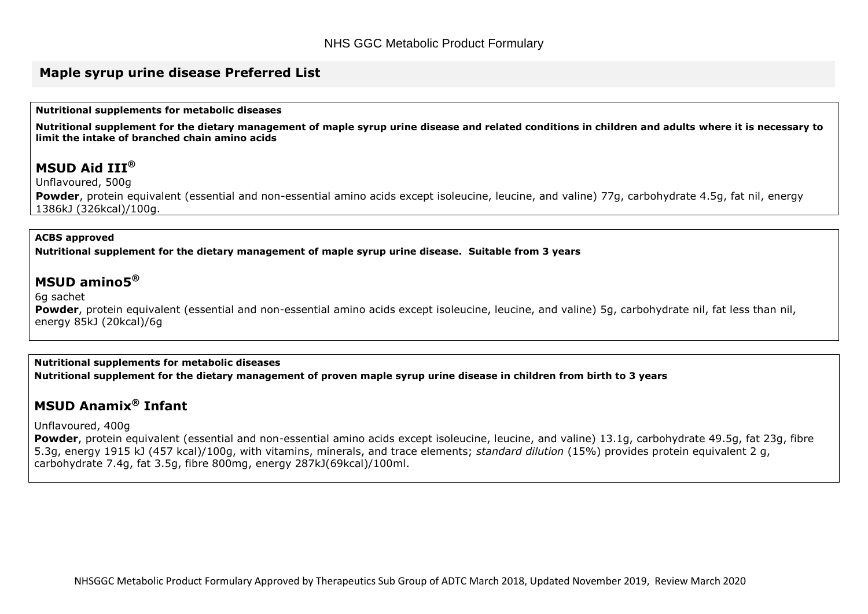#### **Maple syrup urine disease Preferred List**

**Nutritional supplements for metabolic diseases**

**Nutritional supplement for the dietary management of maple syrup urine disease and related conditions in children and adults where it is necessary to limit the intake of branched chain amino acids** 

## **MSUD Aid III®**

Unflavoured, 500g

**Powder**, protein equivalent (essential and non-essential amino acids except isoleucine, leucine, and valine) 77g, carbohydrate 4.5g, fat nil, energy 1386kJ (326kcal)/100g.

#### **ACBS approved**

**Nutritional supplement for the dietary management of maple syrup urine disease. Suitable from 3 years**

### **MSUD amino5®**

#### 6g sachet

**Powder**, protein equivalent (essential and non-essential amino acids except isoleucine, leucine, and valine) 5g, carbohydrate nil, fat less than nil, energy 85kJ (20kcal)/6g

#### **Nutritional supplements for metabolic diseases**

**Nutritional supplement for the dietary management of proven maple syrup urine disease in children from birth to 3 years**

## **MSUD Anamix® Infant**

#### Unflavoured, 400g

Powder, protein equivalent (essential and non-essential amino acids except isoleucine, leucine, and valine) 13.1g, carbohydrate 49.5g, fat 23g, fibre 5.3g, energy 1915 kJ (457 kcal)/100g, with vitamins, minerals, and trace elements; *standard dilution* (15%) provides protein equivalent 2 g, carbohydrate 7.4g, fat 3.5g, fibre 800mg, energy 287kJ(69kcal)/100ml.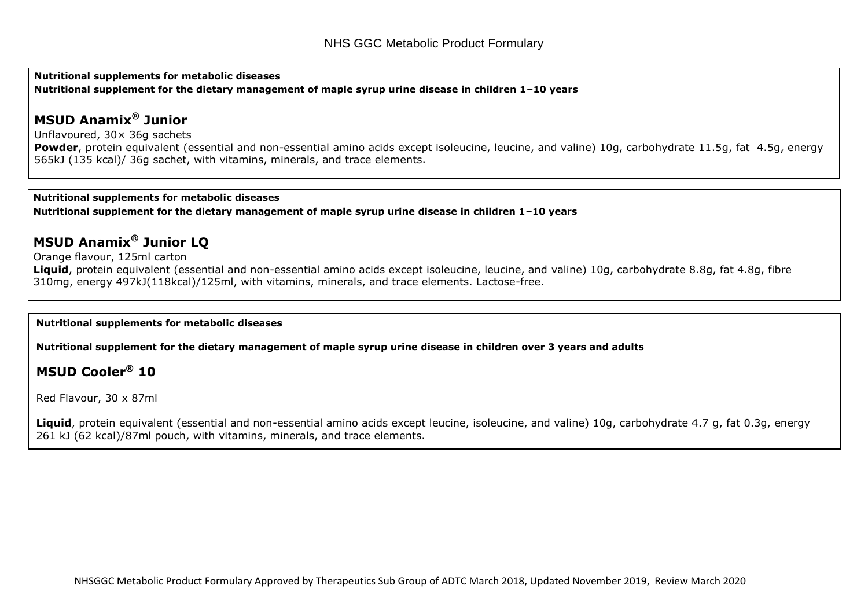**Nutritional supplements for metabolic diseases Nutritional supplement for the dietary management of maple syrup urine disease in children 1–10 years**

## **MSUD Anamix® Junior**

Unflavoured, 30× 36g sachets

Powder, protein equivalent (essential and non-essential amino acids except isoleucine, leucine, and valine) 10g, carbohydrate 11.5g, fat 4.5g, energy 565kJ (135 kcal)/ 36g sachet, with vitamins, minerals, and trace elements.

#### **Nutritional supplements for metabolic diseases**

**Nutritional supplement for the dietary management of maple syrup urine disease in children 1–10 years**

## **MSUD Anamix® Junior LQ**

Orange flavour, 125ml carton

Liquid, protein equivalent (essential and non-essential amino acids except isoleucine, leucine, and valine) 10g, carbohydrate 8.8g, fat 4.8g, fibre 310mg, energy 497kJ(118kcal)/125ml, with vitamins, minerals, and trace elements. Lactose-free.

#### **Nutritional supplements for metabolic diseases**

**Nutritional supplement for the dietary management of maple syrup urine disease in children over 3 years and adults**

### **MSUD Cooler® 10**

Red Flavour, 30 x 87ml

Liquid, protein equivalent (essential and non-essential amino acids except leucine, isoleucine, and valine) 10g, carbohydrate 4.7 g, fat 0.3g, energy 261 kJ (62 kcal)/87ml pouch, with vitamins, minerals, and trace elements.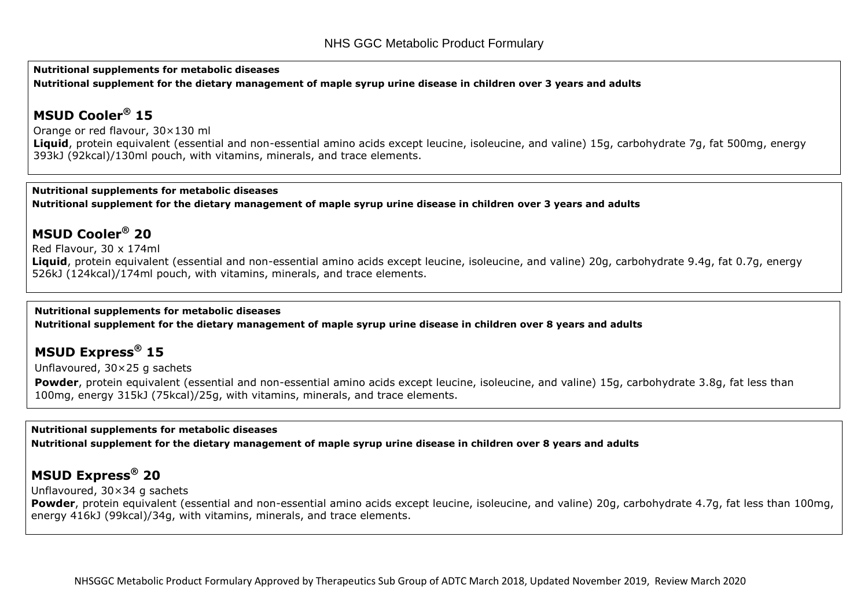**Nutritional supplements for metabolic diseases Nutritional supplement for the dietary management of maple syrup urine disease in children over 3 years and adults**

## **MSUD Cooler® 15**

[Orange or red flavour, 30×130 ml](http://www.medicinescomplete.com/mc/bnf/current/PHP39-prices-in-the-bnf.htm)

**Liquid**, protein equivalent (essential and non-essential amino acids except leucine, isoleucine, and valine) 15g, carbohydrate 7g, fat 500mg, energy 393kJ (92kcal)/130ml pouch, with vitamins, minerals, and trace elements.

#### **Nutritional supplements for metabolic diseases**

**Nutritional supplement for the dietary management of maple syrup urine disease in children over 3 years and adults**

## **MSUD Cooler® 20**

Red Flavour, 30 x 174ml Liquid, protein equivalent (essential and non-essential amino acids except leucine, isoleucine, and valine) 20g, carbohydrate 9.4g, fat 0.7g, energy 526kJ (124kcal)/174ml pouch, with vitamins, minerals, and trace elements.

#### **Nutritional supplements for metabolic diseases**

**Nutritional supplement for the dietary management of maple syrup urine disease in children over 8 years and adults**

### **MSUD Express® 15**

Unflavoured, 30×25 g sachets

Powder, protein equivalent (essential and non-essential amino acids except leucine, isoleucine, and valine) 15g, carbohydrate 3.8g, fat less than 100mg, energy 315kJ (75kcal)/25g, with vitamins, minerals, and trace elements.

#### **Nutritional supplements for metabolic diseases**

**Nutritional supplement for the dietary management of maple syrup urine disease in children over 8 years and adults**

## **MSUD Express® 20**

Unflavoured, 30×34 g sachets

**Powder**, protein equivalent (essential and non-essential amino acids except leucine, isoleucine, and valine) 20g, carbohydrate 4.7g, fat less than 100mg, energy 416kJ (99kcal)/34g, with vitamins, minerals, and trace elements.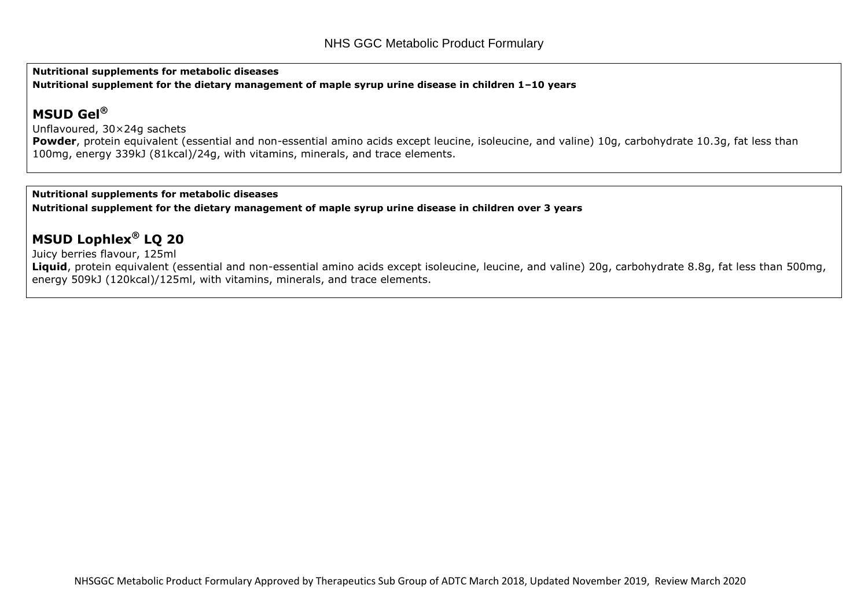**Nutritional supplements for metabolic diseases Nutritional supplement for the dietary management of maple syrup urine disease in children 1–10 years**

## **MSUD Gel®**

Unflavoured, 30×24g sachets

Powder, protein equivalent (essential and non-essential amino acids except leucine, isoleucine, and valine) 10g, carbohydrate 10.3g, fat less than 100mg, energy 339kJ (81kcal)/24g, with vitamins, minerals, and trace elements.

#### **Nutritional supplements for metabolic diseases**

**Nutritional supplement for the dietary management of maple syrup urine disease in children over 3 years**

## **MSUD Lophlex® LQ 20**

[Juicy berries flavour, 125ml](http://www.medicinescomplete.com/mc/bnf/current/PHP39-prices-in-the-bnf.htm)

Liquid, protein equivalent (essential and non-essential amino acids except isoleucine, leucine, and valine) 20g, carbohydrate 8.8g, fat less than 500mg, energy 509kJ (120kcal)/125ml, with vitamins, minerals, and trace elements.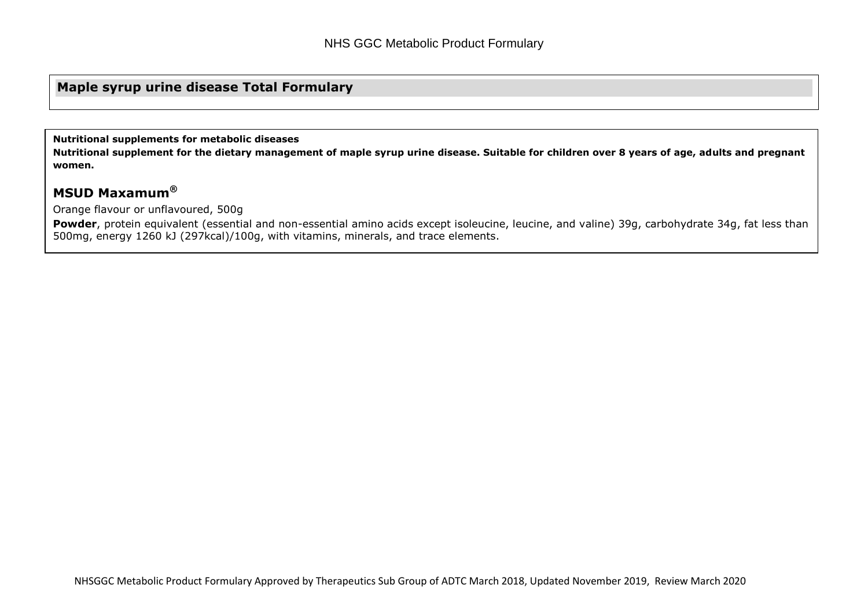### **Maple syrup urine disease Total Formulary**

**Nutritional supplements for metabolic diseases**

**Nutritional supplement for the dietary management of maple syrup urine disease. Suitable for children over 8 years of age, adults and pregnant women.**

## **MSUD Maxamum®**

Orange flavour or unflavoured, 500g

Powder, protein equivalent (essential and non-essential amino acids except isoleucine, leucine, and valine) 39g, carbohydrate 34g, fat less than 500mg, energy 1260 kJ (297kcal)/100g, with vitamins, minerals, and trace elements.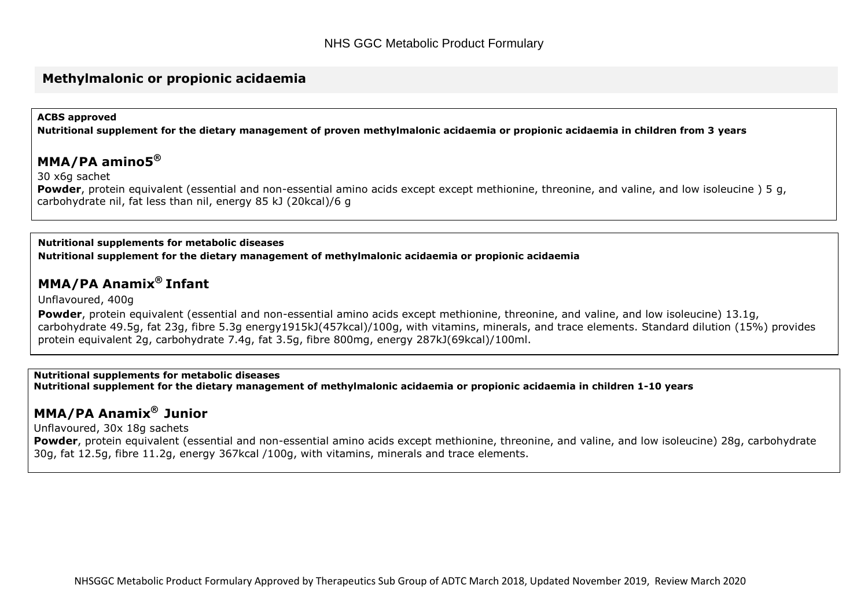#### **Methylmalonic or propionic acidaemia**

#### **ACBS approved**

**Nutritional supplement for the dietary management of proven methylmalonic acidaemia or propionic acidaemia in children from 3 years**

#### **MMA/PA amino5®**

30 x6g sachet

**Powder**, protein equivalent (essential and non-essential amino acids except except methionine, threonine, and valine, and low isoleucine ) 5 g, carbohydrate nil, fat less than nil, energy 85 kJ (20kcal)/6 g

#### **Nutritional supplements for metabolic diseases Nutritional supplement for the dietary management of methylmalonic acidaemia or propionic acidaemia**

### **MMA/PA Anamix® Infant**

Unflavoured, 400g

**Powder**, protein equivalent (essential and non-essential amino acids except methionine, threonine, and valine, and low isoleucine) 13.1g, carbohydrate 49.5g, fat 23g, fibre 5.3g energy1915kJ(457kcal)/100g, with vitamins, minerals, and trace elements. Standard dilution (15%) provides protein equivalent 2g, carbohydrate 7.4g, fat 3.5g, fibre 800mg, energy 287kJ(69kcal)/100ml.

#### **Nutritional supplements for metabolic diseases**

**Nutritional supplement for the dietary management of methylmalonic acidaemia or propionic acidaemia in children 1-10 years**

### **MMA/PA Anamix® Junior**

Unflavoured, 30x 18g sachets

**Powder**, protein equivalent (essential and non-essential amino acids except methionine, threonine, and valine, and low isoleucine) 28g, carbohydrate 30g, fat 12.5g, fibre 11.2g, energy 367kcal /100g, with vitamins, minerals and trace elements.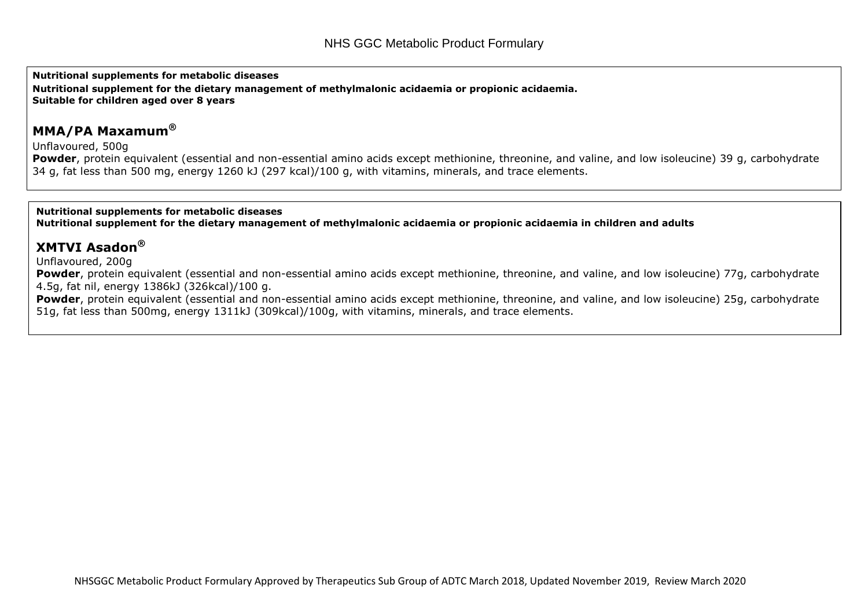**Nutritional supplements for metabolic diseases**

**Nutritional supplement for the dietary management of methylmalonic acidaemia or propionic acidaemia. Suitable for children aged over 8 years**

### **MMA/PA Maxamum®**

Unflavoured, 500g

**Powder**, protein equivalent (essential and non-essential amino acids except methionine, threonine, and valine, and low isoleucine) 39 g, carbohydrate 34 g, fat less than 500 mg, energy 1260 kJ (297 kcal)/100 g, with vitamins, minerals, and trace elements.

**Nutritional supplements for metabolic diseases Nutritional supplement for the dietary management of methylmalonic acidaemia or propionic acidaemia in children and adults**

### **XMTVI Asadon®**

Unflavoured, 200g

**Powder**, protein equivalent (essential and non-essential amino acids except methionine, threonine, and valine, and low isoleucine) 77g, carbohydrate 4.5g, fat nil, energy 1386kJ (326kcal)/100 g.

Powder, protein equivalent (essential and non-essential amino acids except methionine, threonine, and valine, and low isoleucine) 25g, carbohydrate 51g, fat less than 500mg, energy 1311kJ (309kcal)/100g, with vitamins, minerals, and trace elements.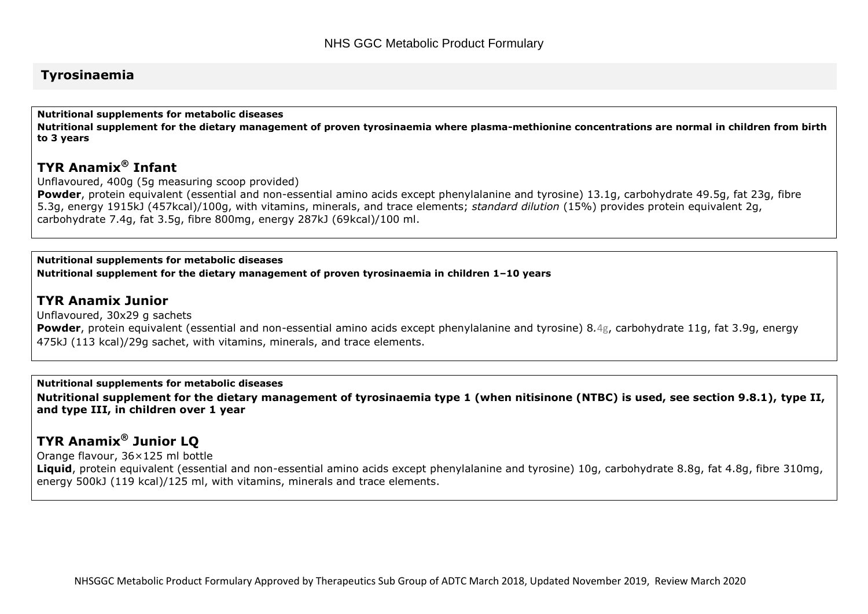#### **Tyrosinaemia**

**Nutritional supplements for metabolic diseases Nutritional supplement for the dietary management of proven tyrosinaemia where plasma-methionine concentrations are normal in children from birth to 3 years**

## **TYR Anamix® Infant**

Unflavoured, 400g (5g measuring scoop provided)

**Powder**, protein equivalent (essential and non-essential amino acids except phenylalanine and tyrosine) 13.1g, carbohydrate 49.5g, fat 23g, fibre 5.3g, energy 1915kJ (457kcal)/100g, with vitamins, minerals, and trace elements; *standard dilution* (15%) provides protein equivalent 2g, carbohydrate 7.4g, fat 3.5g, fibre 800mg, energy 287kJ (69kcal)/100 ml.

#### **Nutritional supplements for metabolic diseases**

**Nutritional supplement for the dietary management of proven tyrosinaemia in children 1–10 years**

#### **TYR Anamix Junior**

Unflavoured, 30x29 g sachets **Powder**, protein equivalent (essential and non-essential amino acids except phenylalanine and tyrosine) 8*.*4g, carbohydrate 11g, fat 3.9g, energy 475kJ (113 kcal)/29g sachet, with vitamins, minerals, and trace elements.

#### **Nutritional supplements for metabolic diseases**

**Nutritional supplement for the dietary management of tyrosinaemia type 1 (when nitisinone (NTBC) is used, see section 9.8.1), type II, and type III, in children over 1 year**

## **TYR Anamix® Junior LQ**

Orange flavour, 36×125 ml bottle

**Liquid**, protein equivalent (essential and non-essential amino acids except phenylalanine and tyrosine) 10g, carbohydrate 8.8g, fat 4.8g, fibre 310mg, energy 500kJ (119 kcal)/125 ml, with vitamins, minerals and trace elements.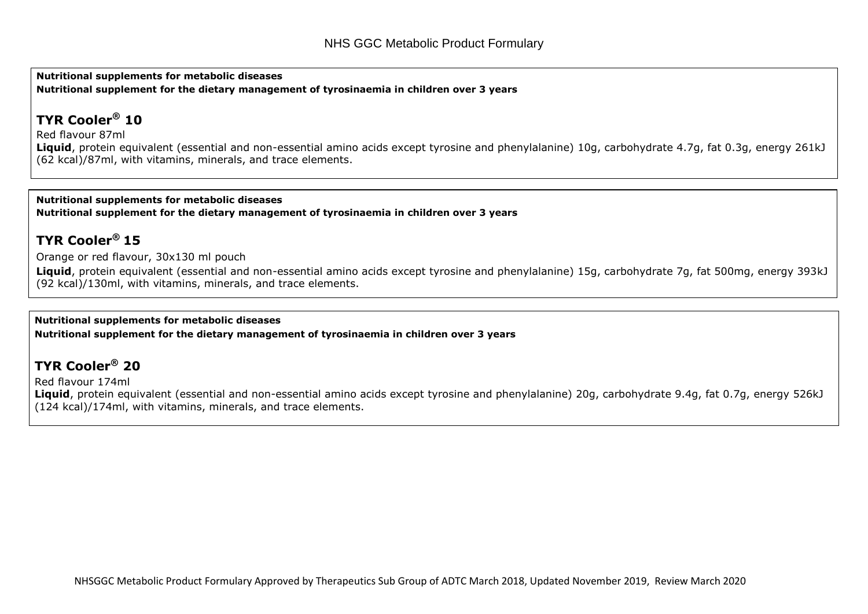**Nutritional supplements for metabolic diseases Nutritional supplement for the dietary management of tyrosinaemia in children over 3 years**

## **TYR Cooler® 10**

Red flavour 87ml

**Liquid**, protein equivalent (essential and non-essential amino acids except tyrosine and phenylalanine) 10g, carbohydrate 4.7g, fat 0.3g, energy 261kJ (62 kcal)/87ml, with vitamins, minerals, and trace elements.

**Nutritional supplements for metabolic diseases Nutritional supplement for the dietary management of tyrosinaemia in children over 3 years**

## **TYR Cooler® 15**

Orange or red flavour, 30x130 ml pouch

**Liquid**, protein equivalent (essential and non-essential amino acids except tyrosine and phenylalanine) 15g, carbohydrate 7g, fat 500mg, energy 393kJ (92 kcal)/130ml, with vitamins, minerals, and trace elements.

#### **Nutritional supplements for metabolic diseases**

**Nutritional supplement for the dietary management of tyrosinaemia in children over 3 years**

## **TYR Cooler® 20**

Red flavour 174ml

**Liquid**, protein equivalent (essential and non-essential amino acids except tyrosine and phenylalanine) 20g, carbohydrate 9.4g, fat 0.7g, energy 526kJ (124 kcal)/174ml, with vitamins, minerals, and trace elements.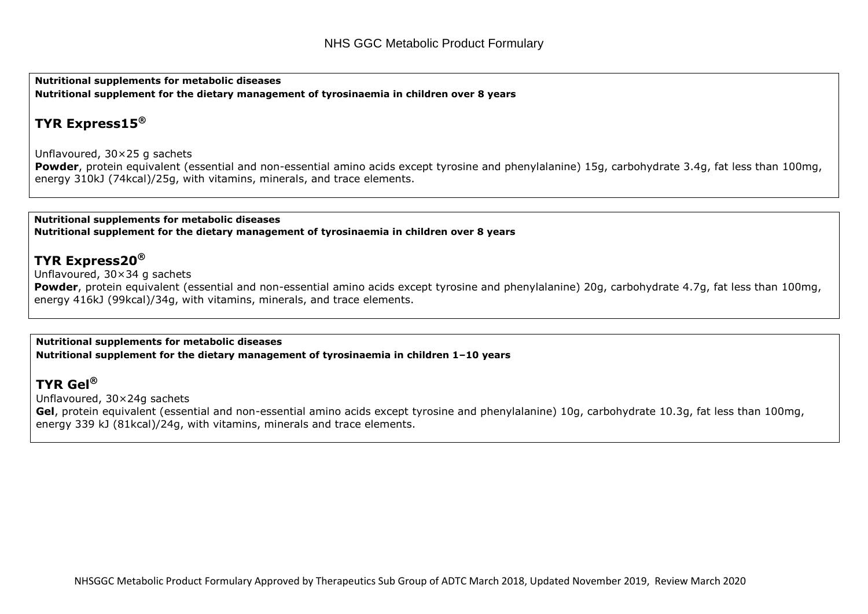**Nutritional supplements for metabolic diseases Nutritional supplement for the dietary management of tyrosinaemia in children over 8 years**

## **TYR Express15®**

Unflavoured, 30×25 g sachets

Powder, protein equivalent (essential and non-essential amino acids except tyrosine and phenylalanine) 15g, carbohydrate 3.4g, fat less than 100mg, energy 310kJ (74kcal)/25g, with vitamins, minerals, and trace elements.

**Nutritional supplements for metabolic diseases Nutritional supplement for the dietary management of tyrosinaemia in children over 8 years**

### **TYR Express20®**

Unflavoured, 30×34 g sachets

**Powder**, protein equivalent (essential and non-essential amino acids except tyrosine and phenylalanine) 20g, carbohydrate 4.7g, fat less than 100mg, energy 416kJ (99kcal)/34g, with vitamins, minerals, and trace elements.

#### **Nutritional supplements for metabolic diseases**

**Nutritional supplement for the dietary management of tyrosinaemia in children 1–10 years**

### **TYR Gel®**

Unflavoured, 30×24g sachets

**Gel**, protein equivalent (essential and non-essential amino acids except tyrosine and phenylalanine) 10g, carbohydrate 10.3g, fat less than 100mg, energy 339 kJ (81kcal)/24g, with vitamins, minerals and trace elements.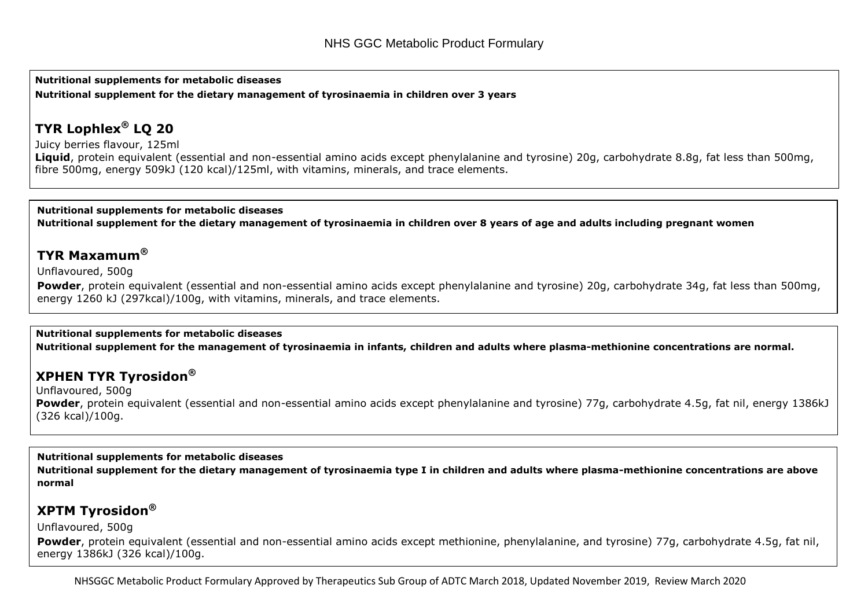**Nutritional supplements for metabolic diseases Nutritional supplement for the dietary management of tyrosinaemia in children over 3 years**

## **TYR Lophlex® LQ 20**

Juicy berries flavour, 125ml **Liquid**, protein equivalent (essential and non-essential amino acids except phenylalanine and tyrosine) 20g, carbohydrate 8.8g, fat less than 500mg, fibre 500mg, energy 509kJ (120 kcal)/125ml, with vitamins, minerals, and trace elements.

**Nutritional supplements for metabolic diseases Nutritional supplement for the dietary management of tyrosinaemia in children over 8 years of age and adults including pregnant women**

## **TYR Maxamum®**

Unflavoured, 500g

Powder, protein equivalent (essential and non-essential amino acids except phenylalanine and tyrosine) 20g, carbohydrate 34g, fat less than 500mg, energy 1260 kJ (297kcal)/100g, with vitamins, minerals, and trace elements.

#### **Nutritional supplements for metabolic diseases**

**Nutritional supplement for the management of tyrosinaemia in infants, children and adults where plasma-methionine concentrations are normal.** 

## **XPHEN TYR Tyrosidon®**

Unflavoured, 500g **Powder**, protein equivalent (essential and non-essential amino acids except phenylalanine and tyrosine) 77g, carbohydrate 4.5g, fat nil, energy 1386kJ (326 kcal)/100g.

#### **Nutritional supplements for metabolic diseases**

**Nutritional supplement for the dietary management of tyrosinaemia type I in children and adults where plasma-methionine concentrations are above normal** 

### **XPTM Tyrosidon®**

Unflavoured, 500g

**Powder**, protein equivalent (essential and non-essential amino acids except methionine, phenylalanine, and tyrosine) 77g, carbohydrate 4.5g, fat nil, energy 1386kJ (326 kcal)/100g.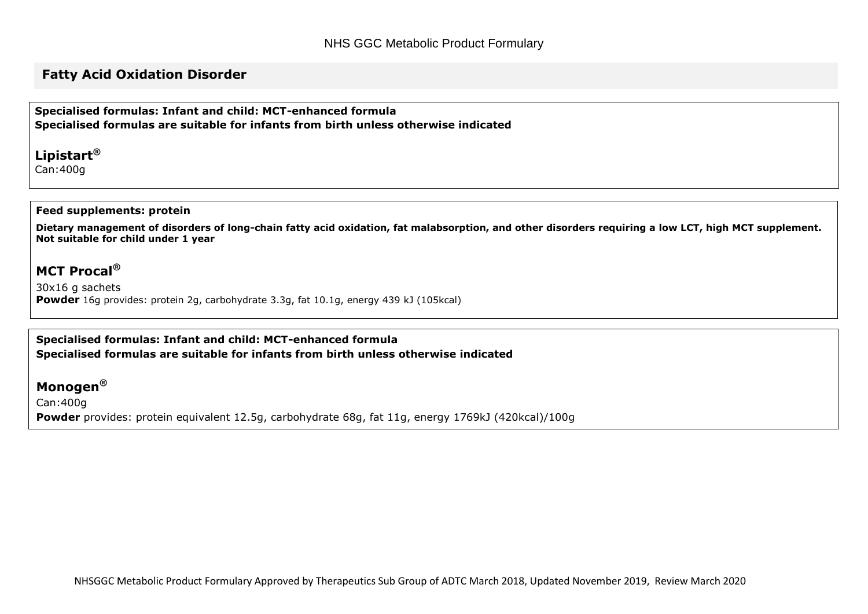### **Fatty Acid Oxidation Disorder**

**Specialised formulas: Infant and child: MCT-enhanced formula Specialised formulas are suitable for infants from birth unless otherwise indicated**

**Lipistart®** Can:400g

#### **Feed supplements: protein**

**Dietary management of disorders of long-chain fatty acid oxidation, fat malabsorption, and other disorders requiring a low LCT, high MCT supplement. Not suitable for child under 1 year**

## **MCT Procal®**

30x16 g sachets **Powder** 16g provides: protein 2g, carbohydrate 3.3g, fat 10.1g, energy 439 kJ (105kcal)

#### **Specialised formulas: Infant and child: MCT-enhanced formula Specialised formulas are suitable for infants from birth unless otherwise indicated**

### **Monogen®**

Can:400g **Powder** provides: protein equivalent 12.5g, carbohydrate 68g, fat 11g, energy 1769kJ (420kcal)/100g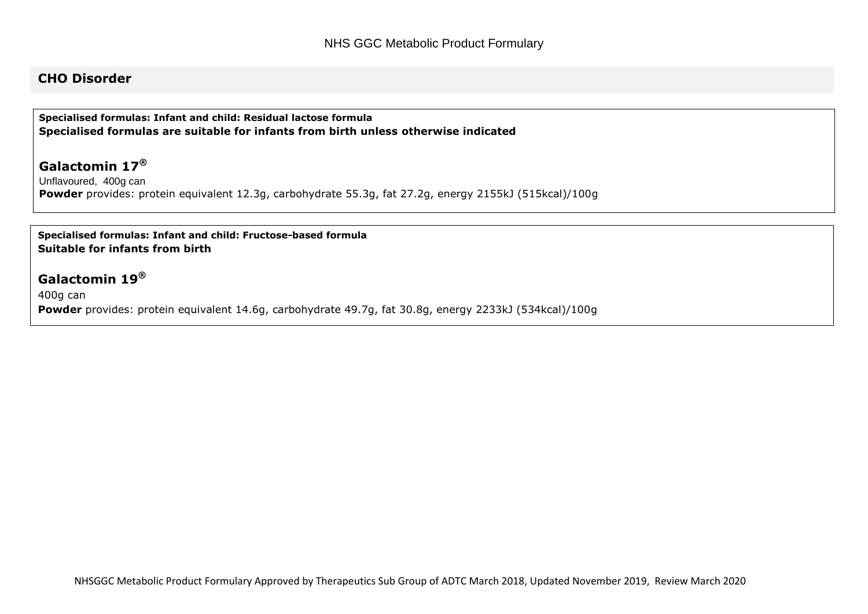### **CHO Disorder**

**Specialised formulas: Infant and child: Residual lactose formula Specialised formulas are suitable for infants from birth unless otherwise indicated**

### **Galactomin 17®**

Unflavoured, 400g can **Powder** provides: protein equivalent 12.3g, carbohydrate 55.3g, fat 27.2g, energy 2155kJ (515kcal)/100g

#### **Specialised formulas: Infant and child: Fructose-based formula Suitable for infants from birth**

### **Galactomin 19®**

400g can **Powder** provides: protein equivalent 14.6g, carbohydrate 49.7g, fat 30.8g, energy 2233kJ (534kcal)/100g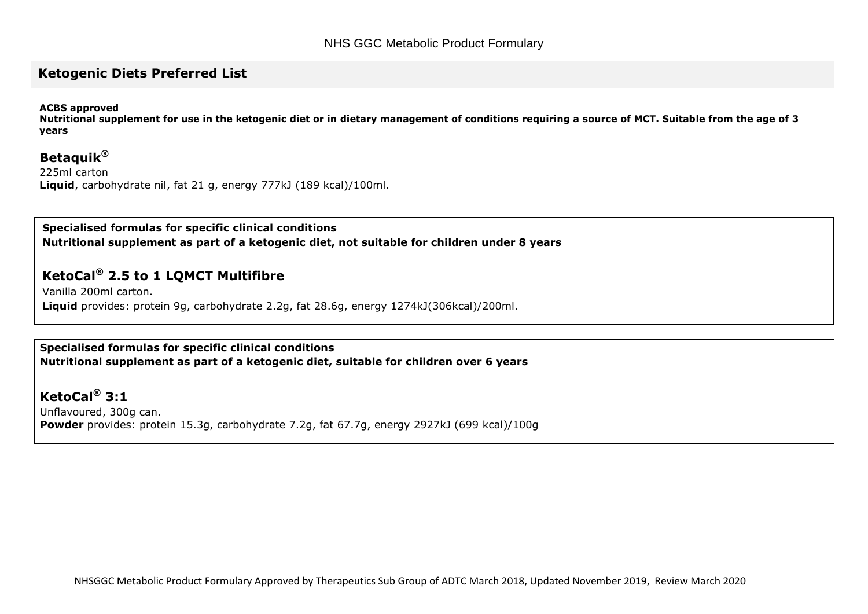#### **Ketogenic Diets Preferred List**

#### **ACBS approved**

**Nutritional supplement for use in the ketogenic diet or in dietary management of conditions requiring a source of MCT. Suitable from the age of 3 years**

### **Betaquik®**

225ml carton **Liquid**, carbohydrate nil, fat 21 g, energy 777kJ (189 kcal)/100ml.

#### **Specialised formulas for specific clinical conditions**

**Nutritional supplement as part of a ketogenic diet, not suitable for children under 8 years**

## **KetoCal® 2.5 to 1 LQMCT Multifibre**

Vanilla 200ml carton. **Liquid** provides: protein 9g, carbohydrate 2.2g, fat 28.6g, energy 1274kJ(306kcal)/200ml.

#### **Specialised formulas for specific clinical conditions Nutritional supplement as part of a ketogenic diet, suitable for children over 6 years**

**KetoCal® 3:1** Unflavoured, 300g can. **Powder** provides: protein 15.3g, carbohydrate 7.2g, fat 67.7g, energy 2927kJ (699 kcal)/100g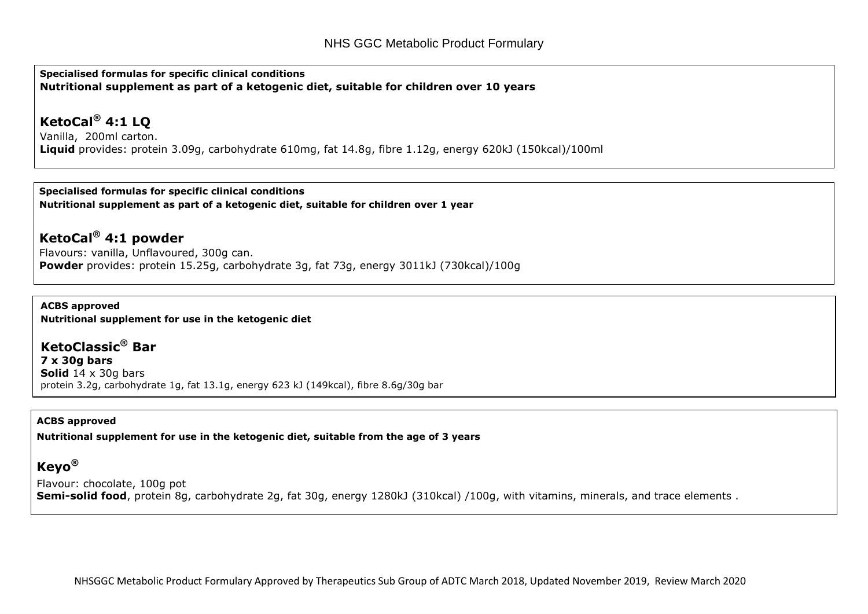**Specialised formulas for specific clinical conditions Nutritional supplement as part of a ketogenic diet, suitable for children over 10 years**

## **KetoCal® 4:1 LQ**

Vanilla, 200ml carton. **Liquid** provides: protein 3.09g, carbohydrate 610mg, fat 14.8g, fibre 1.12g, energy 620kJ (150kcal)/100ml

**Specialised formulas for specific clinical conditions Nutritional supplement as part of a ketogenic diet, suitable for children over 1 year**

**KetoCal® 4:1 powder** Flavours: vanilla, Unflavoured, 300g can. **Powder** provides: protein 15.25g, carbohydrate 3g, fat 73g, energy 3011kJ (730kcal)/100g

**ACBS approved Nutritional supplement for use in the ketogenic diet**

**KetoClassic® Bar 7 x 30g bars Solid** 14 x 30g bars protein 3.2g, carbohydrate 1g, fat 13.1g, energy 623 kJ (149kcal), fibre 8.6g/30g bar

#### **ACBS approved**

**Nutritional supplement for use in the ketogenic diet, suitable from the age of 3 years**

## **Keyo®**

Flavour: chocolate, 100g pot **Semi-solid food**, protein 8g, carbohydrate 2g, fat 30g, energy 1280kJ (310kcal) /100g, with vitamins, minerals, and trace elements .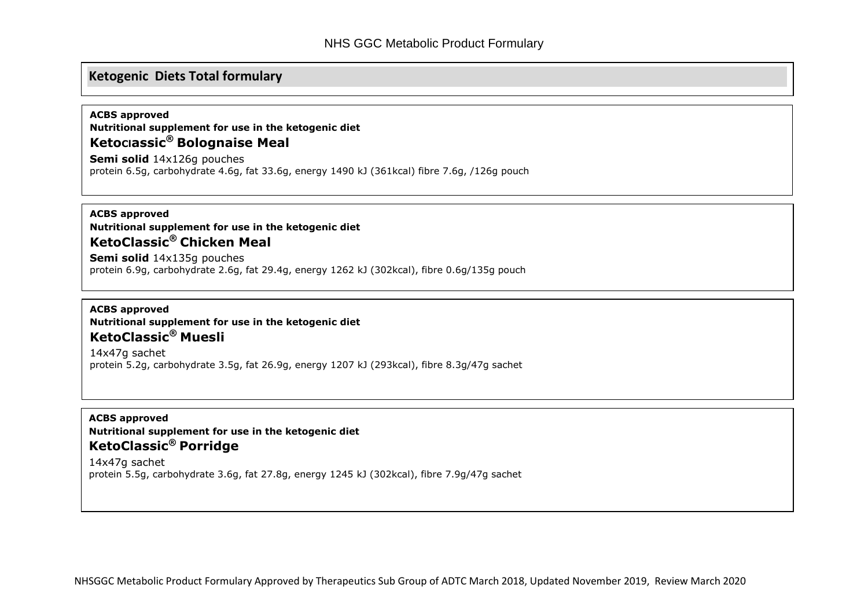### **Ketogenic Diets Total formulary**

#### **ACBS approved**

**Nutritional supplement for use in the ketogenic diet KetoClassic® Bolognaise Meal Semi solid** 14x126g pouches

protein 6.5g, carbohydrate 4.6g, fat 33.6g, energy 1490 kJ (361kcal) fibre 7.6g, /126g pouch

#### **ACBS approved Nutritional supplement for use in the ketogenic diet KetoClassic® Chicken Meal**

**Semi solid** 14x135g pouches protein 6.9g, carbohydrate 2.6g, fat 29.4g, energy 1262 kJ (302kcal), fibre 0.6g/135g pouch

#### **ACBS approved Nutritional supplement for use in the ketogenic diet KetoClassic® Muesli**

14x47g sachet protein 5.2g, carbohydrate 3.5g, fat 26.9g, energy 1207 kJ (293kcal), fibre 8.3g/47g sachet

#### **ACBS approved Nutritional supplement for use in the ketogenic diet KetoClassic® Porridge**

14x47g sachet protein 5.5g, carbohydrate 3.6g, fat 27.8g, energy 1245 kJ (302kcal), fibre 7.9g/47g sachet